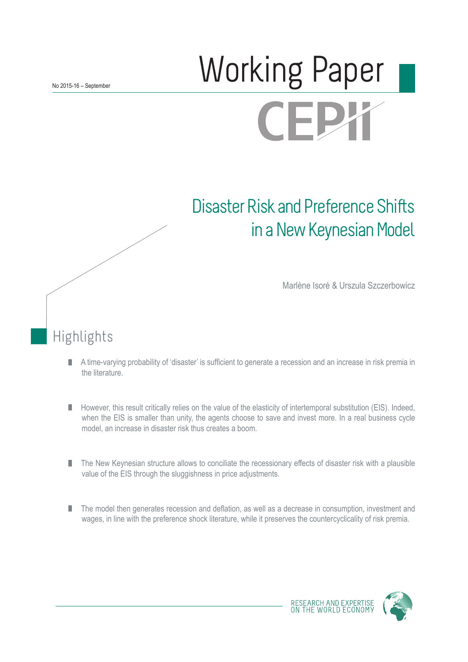# Norking Paper **CEPX**

## Disaster Risk and Preference Shifts in a New Keynesian Model

Marlène Isoré & Urszula Szczerbowicz

## Highlights

- A time-varying probability of 'disaster' is sufficient to generate a recession and an increase in risk premia in П the literature.
- However, this result critically relies on the value of the elasticity of intertemporal substitution (EIS). Indeed, П when the EIS is smaller than unity, the agents choose to save and invest more. In a real business cycle model, an increase in disaster risk thus creates a boom.
- П The New Keynesian structure allows to conciliate the recessionary effects of disaster risk with a plausible value of the EIS through the sluggishness in price adjustments.
- The model then generates recession and deflation, as well as a decrease in consumption, investment and П wages, in line with the preference shock literature, while it preserves the countercyclicality of risk premia.

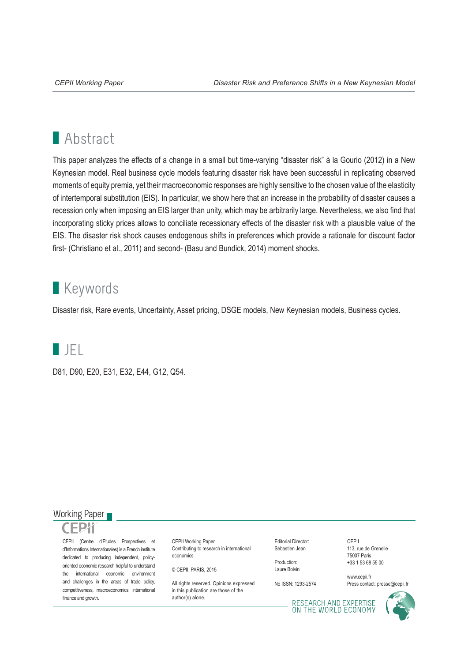## **Abstract**

This paper analyzes the effects of a change in a small but time-varying "disaster risk" à la Gourio (2012) in a New Keynesian model. Real business cycle models featuring disaster risk have been successful in replicating observed moments of equity premia, yet their macroeconomic responses are highly sensitive to the chosen value of the elasticity of intertemporal substitution (EIS). In particular, we show here that an increase in the probability of disaster causes a recession only when imposing an EIS larger than unity, which may be arbitrarily large. Nevertheless, we also find that incorporating sticky prices allows to conciliate recessionary effects of the disaster risk with a plausible value of the EIS. The disaster risk shock causes endogenous shifts in preferences which provide a rationale for discount factor first- (Christiano et al., 2011) and second- (Basu and Bundick, 2014) moment shocks.

### **Keywords**

Disaster risk, Rare events, Uncertainty, Asset pricing, DSGE models, New Keynesian models, Business cycles.



D81, D90, E20, E31, E32, E44, G12, Q54.

#### Working Paper



CEPII (Centre d'Etudes Prospectives et d'Informations Internationales) is a French institute dedicated to producing independent, policyoriented economic research helpful to understand the international economic environment and challenges in the areas of trade policy, competitiveness, macroeconomics, international finance and growth.

CEPII Working Paper Contributing to research in international economics

© CEPII, PARIS, 2015

All rights reserved. Opinions expressed. in this publication are those of the author(s) alone.

Editorial Director: Sébastien Jean

Production: Laure Boivin

No ISSN: 1293-2574

CEPII 113, rue de Grenelle 75007 Paris +33 1 53 68 55 00

www.cepii.fr Press contact: presse@cepii.fr

RESEARCH AND EXPERTISE<br>ON THE WORLD ECONOMY

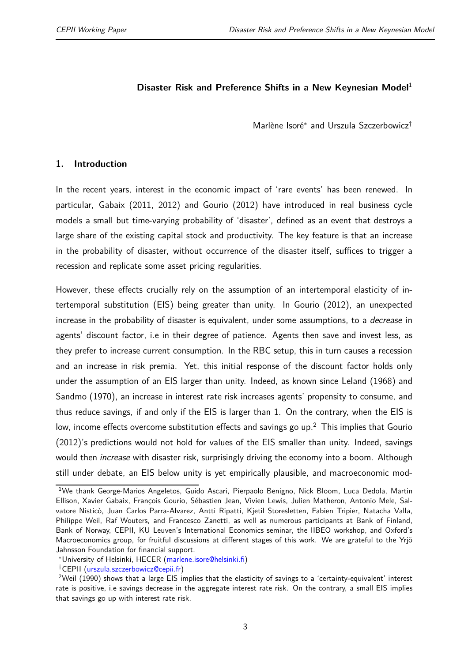#### **Disaster Risk and Preference Shifts in a New Keynesian Model**<sup>1</sup>

Marlène Isoré<sup>∗</sup> and Urszula Szczerbowicz†

#### **1. Introduction**

In the recent years, interest in the economic impact of 'rare events' has been renewed. In particular, Gabaix (2011, 2012) and Gourio (2012) have introduced in real business cycle models a small but time-varying probability of 'disaster', defined as an event that destroys a large share of the existing capital stock and productivity. The key feature is that an increase in the probability of disaster, without occurrence of the disaster itself, suffices to trigger a recession and replicate some asset pricing regularities.

However, these effects crucially rely on the assumption of an intertemporal elasticity of intertemporal substitution (EIS) being greater than unity. In Gourio (2012), an unexpected increase in the probability of disaster is equivalent, under some assumptions, to a *decrease* in agents' discount factor, i.e in their degree of patience. Agents then save and invest less, as they prefer to increase current consumption. In the RBC setup, this in turn causes a recession and an increase in risk premia. Yet, this initial response of the discount factor holds only under the assumption of an EIS larger than unity. Indeed, as known since Leland (1968) and Sandmo (1970), an increase in interest rate risk increases agents' propensity to consume, and thus reduce savings, if and only if the EIS is larger than 1. On the contrary, when the EIS is low, income effects overcome substitution effects and savings go up.<sup>2</sup> This implies that Gourio (2012)'s predictions would not hold for values of the EIS smaller than unity. Indeed, savings would then *increase* with disaster risk, surprisingly driving the economy into a boom. Although still under debate, an EIS below unity is yet empirically plausible, and macroeconomic mod-

<sup>&</sup>lt;sup>1</sup>We thank George-Marios Angeletos, Guido Ascari, Pierpaolo Benigno, Nick Bloom, Luca Dedola, Martin Ellison, Xavier Gabaix, François Gourio, Sébastien Jean, Vivien Lewis, Julien Matheron, Antonio Mele, Salvatore Nisticò, Juan Carlos Parra-Alvarez, Antti Ripatti, Kjetil Storesletten, Fabien Tripier, Natacha Valla, Philippe Weil, Raf Wouters, and Francesco Zanetti, as well as numerous participants at Bank of Finland, Bank of Norway, CEPII, KU Leuven's International Economics seminar, the IIBEO workshop, and Oxford's Macroeconomics group, for fruitful discussions at different stages of this work. We are grateful to the Yrjö Jahnsson Foundation for financial support.

<sup>∗</sup>University of Helsinki, HECER [\(marlene.isore@helsinki.fi\)](mailto:marlene.isore@helsinki.fi)

<sup>†</sup>CEPII [\(urszula.szczerbowicz@cepii.fr\)](mailto:urszula.szczerbowicz@cepii.fr)

<sup>&</sup>lt;sup>2</sup>Weil (1990) shows that a large EIS implies that the elasticity of savings to a 'certainty-equivalent' interest rate is positive, i.e savings decrease in the aggregate interest rate risk. On the contrary, a small EIS implies that savings go up with interest rate risk.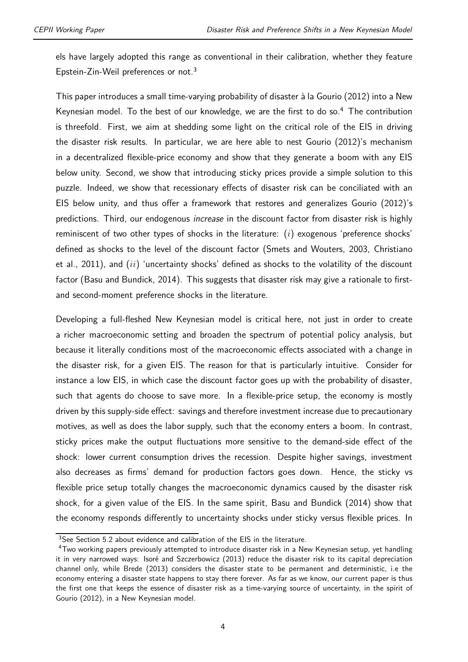els have largely adopted this range as conventional in their calibration, whether they feature Epstein-Zin-Weil preferences or not.<sup>3</sup>

This paper introduces a small time-varying probability of disaster à la Gourio (2012) into a New Keynesian model. To the best of our knowledge, we are the first to do so.<sup>4</sup> The contribution is threefold. First, we aim at shedding some light on the critical role of the EIS in driving the disaster risk results. In particular, we are here able to nest Gourio (2012)'s mechanism in a decentralized flexible-price economy and show that they generate a boom with any EIS below unity. Second, we show that introducing sticky prices provide a simple solution to this puzzle. Indeed, we show that recessionary effects of disaster risk can be conciliated with an EIS below unity, and thus offer a framework that restores and generalizes Gourio (2012)'s predictions. Third, our endogenous *increase* in the discount factor from disaster risk is highly reminiscent of two other types of shocks in the literature: (*i*) exogenous 'preference shocks' defined as shocks to the level of the discount factor (Smets and Wouters, 2003, Christiano et al., 2011), and (*ii*) 'uncertainty shocks' defined as shocks to the volatility of the discount factor (Basu and Bundick, 2014). This suggests that disaster risk may give a rationale to firstand second-moment preference shocks in the literature.

Developing a full-fleshed New Keynesian model is critical here, not just in order to create a richer macroeconomic setting and broaden the spectrum of potential policy analysis, but because it literally conditions most of the macroeconomic effects associated with a change in the disaster risk, for a given EIS. The reason for that is particularly intuitive. Consider for instance a low EIS, in which case the discount factor goes up with the probability of disaster, such that agents do choose to save more. In a flexible-price setup, the economy is mostly driven by this supply-side effect: savings and therefore investment increase due to precautionary motives, as well as does the labor supply, such that the economy enters a boom. In contrast, sticky prices make the output fluctuations more sensitive to the demand-side effect of the shock: lower current consumption drives the recession. Despite higher savings, investment also decreases as firms' demand for production factors goes down. Hence, the sticky vs flexible price setup totally changes the macroeconomic dynamics caused by the disaster risk shock, for a given value of the EIS. In the same spirit, Basu and Bundick (2014) show that the economy responds differently to uncertainty shocks under sticky versus flexible prices. In

<sup>&</sup>lt;sup>3</sup>See Section 5.2 about evidence and calibration of the EIS in the literature.

<sup>&</sup>lt;sup>4</sup>Two working papers previously attempted to introduce disaster risk in a New Keynesian setup, yet handling it in very narrowed ways: Isoré and Szczerbowicz (2013) reduce the disaster risk to its capital depreciation channel only, while Brede (2013) considers the disaster state to be permanent and deterministic, i.e the economy entering a disaster state happens to stay there forever. As far as we know, our current paper is thus the first one that keeps the essence of disaster risk as a time-varying source of uncertainty, in the spirit of Gourio (2012), in a New Keynesian model.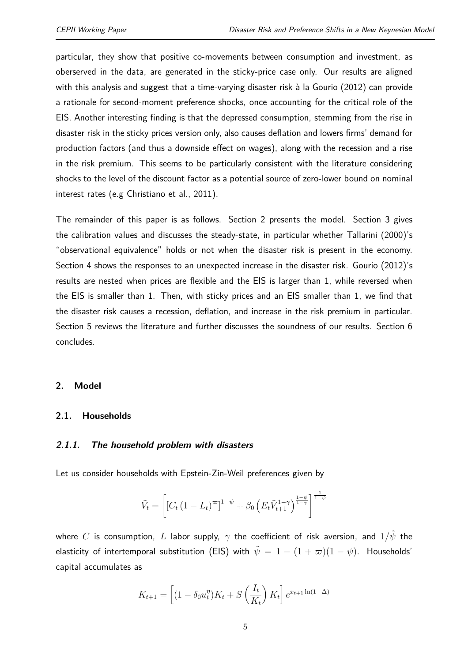particular, they show that positive co-movements between consumption and investment, as oberserved in the data, are generated in the sticky-price case only. Our results are aligned with this analysis and suggest that a time-varying disaster risk à la Gourio (2012) can provide a rationale for second-moment preference shocks, once accounting for the critical role of the EIS. Another interesting finding is that the depressed consumption, stemming from the rise in disaster risk in the sticky prices version only, also causes deflation and lowers firms' demand for production factors (and thus a downside effect on wages), along with the recession and a rise in the risk premium. This seems to be particularly consistent with the literature considering shocks to the level of the discount factor as a potential source of zero-lower bound on nominal interest rates (e.g Christiano et al., 2011).

The remainder of this paper is as follows. Section 2 presents the model. Section 3 gives the calibration values and discusses the steady-state, in particular whether Tallarini (2000)'s "observational equivalence" holds or not when the disaster risk is present in the economy. Section 4 shows the responses to an unexpected increase in the disaster risk. Gourio (2012)'s results are nested when prices are flexible and the EIS is larger than 1, while reversed when the EIS is smaller than 1. Then, with sticky prices and an EIS smaller than 1, we find that the disaster risk causes a recession, deflation, and increase in the risk premium in particular. Section 5 reviews the literature and further discusses the soundness of our results. Section 6 concludes.

#### **2. Model**

#### **2.1. Households**

#### **2.1.1. The household problem with disasters**

Let us consider households with Epstein-Zin-Weil preferences given by

$$
\tilde{V}_t = \left[ \left[ C_t \left( 1 - L_t \right)^{\varpi} \right]^{1-\psi} + \beta_0 \left( E_t \tilde{V}_{t+1}^{1-\gamma} \right)^{\frac{1-\psi}{1-\gamma}} \right]^{\frac{1}{1-\psi}}
$$

where *C* is consumption, *L* labor supply,  $\gamma$  the coefficient of risk aversion, and  $1/\tilde{\psi}$  the elasticity of intertemporal substitution (EIS) with  $\tilde{\psi} = 1 - (1 + \varpi)(1 - \psi)$ . Households' capital accumulates as

$$
K_{t+1} = \left[ (1 - \delta_0 u_t^{\eta}) K_t + S\left(\frac{I_t}{K_t}\right) K_t \right] e^{x_{t+1} \ln(1 - \Delta)}
$$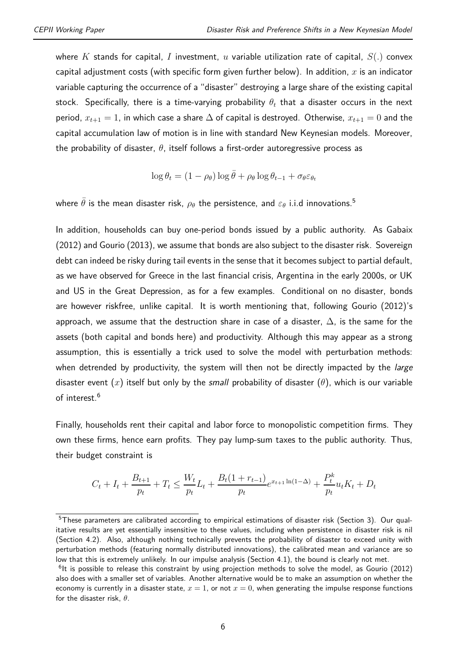where *K* stands for capital, *I* investment, *u* variable utilization rate of capital, *S*(*.*) convex capital adjustment costs (with specific form given further below). In addition, *x* is an indicator variable capturing the occurrence of a "disaster" destroying a large share of the existing capital stock. Specifically, there is a time-varying probability  $\theta_t$  that a disaster occurs in the next period,  $x_{t+1} = 1$ , in which case a share  $\Delta$  of capital is destroyed. Otherwise,  $x_{t+1} = 0$  and the capital accumulation law of motion is in line with standard New Keynesian models. Moreover, the probability of disaster, *θ*, itself follows a first-order autoregressive process as

$$
\log \theta_t = (1 - \rho_\theta) \log \bar{\theta} + \rho_\theta \log \theta_{t-1} + \sigma_\theta \varepsilon_{\theta_t}
$$

where  $\bar{\theta}$  is the mean disaster risk,  $\rho_{\theta}$  the persistence, and  $\varepsilon_{\theta}$  i.i.d innovations.<sup>5</sup>

In addition, households can buy one-period bonds issued by a public authority. As Gabaix (2012) and Gourio (2013), we assume that bonds are also subject to the disaster risk. Sovereign debt can indeed be risky during tail events in the sense that it becomes subject to partial default, as we have observed for Greece in the last financial crisis, Argentina in the early 2000s, or UK and US in the Great Depression, as for a few examples. Conditional on no disaster, bonds are however riskfree, unlike capital. It is worth mentioning that, following Gourio (2012)'s approach, we assume that the destruction share in case of a disaster,  $\Delta$ , is the same for the assets (both capital and bonds here) and productivity. Although this may appear as a strong assumption, this is essentially a trick used to solve the model with perturbation methods: when detrended by productivity, the system will then not be directly impacted by the *large* disaster event (*x*) itself but only by the *small* probability of disaster (*θ*), which is our variable of interest.<sup>6</sup>

Finally, households rent their capital and labor force to monopolistic competition firms. They own these firms, hence earn profits. They pay lump-sum taxes to the public authority. Thus, their budget constraint is

$$
C_t + I_t + \frac{B_{t+1}}{p_t} + T_t \le \frac{W_t}{p_t}L_t + \frac{B_t(1 + r_{t-1})}{p_t}e^{x_{t+1}\ln(1-\Delta)} + \frac{P_t^k}{p_t}u_tK_t + D_t
$$

<sup>&</sup>lt;sup>5</sup>These parameters are calibrated according to empirical estimations of disaster risk (Section 3). Our qualitative results are yet essentially insensitive to these values, including when persistence in disaster risk is nil (Section 4.2). Also, although nothing technically prevents the probability of disaster to exceed unity with perturbation methods (featuring normally distributed innovations), the calibrated mean and variance are so low that this is extremely unlikely. In our impulse analysis (Section 4.1), the bound is clearly not met.

<sup>&</sup>lt;sup>6</sup>lt is possible to release this constraint by using projection methods to solve the model, as Gourio (2012) also does with a smaller set of variables. Another alternative would be to make an assumption on whether the economy is currently in a disaster state,  $x = 1$ , or not  $x = 0$ , when generating the impulse response functions for the disaster risk, *θ*.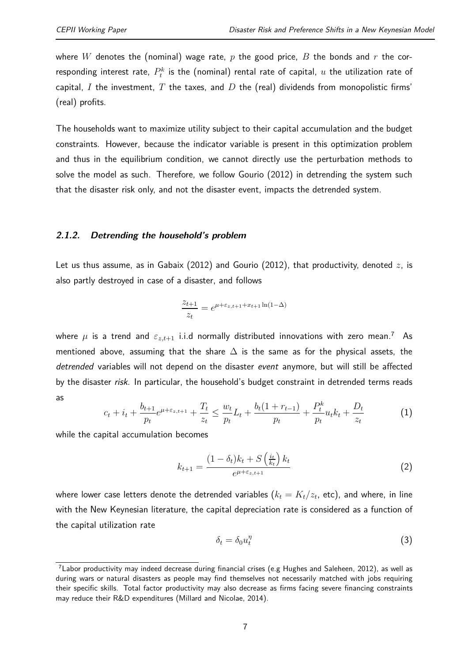where *W* denotes the (nominal) wage rate, *p* the good price, *B* the bonds and *r* the corresponding interest rate,  $P_t^k$  is the (nominal) rental rate of capital,  $u$  the utilization rate of capital, *I* the investment, *T* the taxes, and *D* the (real) dividends from monopolistic firms' (real) profits.

The households want to maximize utility subject to their capital accumulation and the budget constraints. However, because the indicator variable is present in this optimization problem and thus in the equilibrium condition, we cannot directly use the perturbation methods to solve the model as such. Therefore, we follow Gourio (2012) in detrending the system such that the disaster risk only, and not the disaster event, impacts the detrended system.

#### **2.1.2. Detrending the household's problem**

Let us thus assume, as in Gabaix (2012) and Gourio (2012), that productivity, denoted *z*, is also partly destroyed in case of a disaster, and follows

$$
\frac{z_{t+1}}{z_t} = e^{\mu + \varepsilon_{z,t+1} + x_{t+1} \ln(1-\Delta)}
$$

where  $\mu$  is a trend and  $\varepsilon_{z,t+1}$  i.i.d normally distributed innovations with zero mean.<sup>7</sup> As mentioned above, assuming that the share  $\Delta$  is the same as for the physical assets, the *detrended* variables will not depend on the disaster *event* anymore, but will still be affected by the disaster *risk*. In particular, the household's budget constraint in detrended terms reads as

$$
c_{t} + i_{t} + \frac{b_{t+1}}{p_{t}} e^{\mu + \varepsilon_{z,t+1}} + \frac{T_{t}}{z_{t}} \leq \frac{w_{t}}{p_{t}} L_{t} + \frac{b_{t}(1 + r_{t-1})}{p_{t}} + \frac{P_{t}^{k}}{p_{t}} u_{t} k_{t} + \frac{D_{t}}{z_{t}}
$$
(1)

while the capital accumulation becomes

$$
k_{t+1} = \frac{(1 - \delta_t)k_t + S\left(\frac{i_t}{k_t}\right)k_t}{e^{\mu + \varepsilon_{z,t+1}}}
$$
(2)

where lower case letters denote the detrended variables  $(k_t = K_t/z_t$ , etc), and where, in line with the New Keynesian literature, the capital depreciation rate is considered as a function of the capital utilization rate

$$
\delta_t = \delta_0 u_t^{\eta} \tag{3}
$$

<sup>&</sup>lt;sup>7</sup>Labor productivity may indeed decrease during financial crises (e.g Hughes and Saleheen, 2012), as well as during wars or natural disasters as people may find themselves not necessarily matched with jobs requiring their specific skills. Total factor productivity may also decrease as firms facing severe financing constraints may reduce their R&D expenditures (Millard and Nicolae, 2014).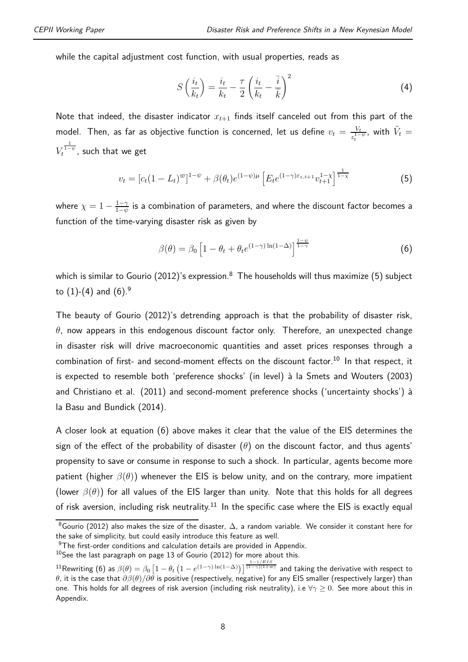while the capital adjustment cost function, with usual properties, reads as

$$
S\left(\frac{i_t}{k_t}\right) = \frac{i_t}{k_t} - \frac{\tau}{2}\left(\frac{i_t}{k_t} - \frac{\bar{i}}{\bar{k}}\right)^2 \tag{4}
$$

Note that indeed, the disaster indicator  $x_{t+1}$  finds itself canceled out from this part of the model. Then, as far as objective function is concerned, let us define  $v_t = \frac{V_t}{z^{1-t}}$  $\frac{V_t}{z_t^{1-\psi}}$ , with  $\tilde{V}_t =$  $V_t^{\frac{1}{1-\psi}}$ , such that we get

$$
v_t = [c_t(1 - L_t)^{\infty}]^{1 - \psi} + \beta(\theta_t)e^{(1 - \psi)\mu} \left[E_t e^{(1 - \gamma)\varepsilon_{z,t+1}} v_{t+1}^{1 - \chi}\right]^{\frac{1}{1 - \chi}} \tag{5}
$$

where  $\chi = 1 - \frac{1-\gamma}{1-\gamma}$ 1−*ψ* is a combination of parameters, and where the discount factor becomes a function of the time-varying disaster risk as given by

$$
\beta(\theta) = \beta_0 \left[ 1 - \theta_t + \theta_t e^{(1-\gamma)\ln(1-\Delta)} \right]^{\frac{1-\psi}{1-\gamma}}
$$
(6)

which is similar to Gourio (2012)'s expression.<sup>8</sup> The households will thus maximize (5) subject to  $(1)-(4)$  and  $(6).9$ 

The beauty of Gourio (2012)'s detrending approach is that the probability of disaster risk, *θ*, now appears in this endogenous discount factor only. Therefore, an unexpected change in disaster risk will drive macroeconomic quantities and asset prices responses through a combination of first- and second-moment effects on the discount factor.<sup>10</sup> In that respect, it is expected to resemble both 'preference shocks' (in level) à la Smets and Wouters (2003) and Christiano et al. (2011) and second-moment preference shocks ('uncertainty shocks') à la Basu and Bundick (2014).

A closer look at equation (6) above makes it clear that the value of the EIS determines the sign of the effect of the probability of disaster  $(\theta)$  on the discount factor, and thus agents' propensity to save or consume in response to such a shock. In particular, agents become more patient (higher *β*(*θ*)) whenever the EIS is below unity, and on the contrary, more impatient (lower *β*(*θ*)) for all values of the EIS larger than unity. Note that this holds for all degrees of risk aversion, including risk neutrality.<sup>11</sup> In the specific case where the EIS is exactly equal

<sup>8</sup>Gourio (2012) also makes the size of the disaster, ∆, a random variable. We consider it constant here for the sake of simplicity, but could easily introduce this feature as well.

<sup>&</sup>lt;sup>9</sup>The first-order conditions and calculation details are provided in Appendix.

 $10$ See the last paragraph on page 13 of Gourio (2012) for more about this.

 $^{11}$ Rewriting (6) as  $\beta(\theta)=\beta_0\left[1-\theta_t\left(1-e^{(1-\gamma)\ln(1-\Delta)}\right)\right]^{ \frac{1-1/ EIS}{(1-\gamma)(1+\varpi)}}$  and taking the derivative with respect to *θ*, it is the case that *∂β*(*θ*)*/∂θ* is positive (respectively, negative) for any EIS smaller (respectively larger) than one. This holds for all degrees of risk aversion (including risk neutrality), i.e ∀*γ* ≥ 0. See more about this in Appendix.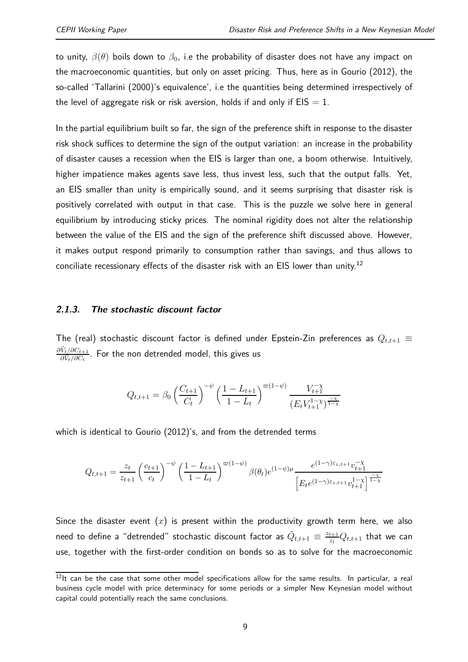to unity,  $\beta(\theta)$  boils down to  $\beta_0$ , i.e the probability of disaster does not have any impact on the macroeconomic quantities, but only on asset pricing. Thus, here as in Gourio (2012), the so-called 'Tallarini (2000)'s equivalence', i.e the quantities being determined irrespectively of the level of aggregate risk or risk aversion, holds if and only if  $EIS = 1$ .

In the partial equilibrium built so far, the sign of the preference shift in response to the disaster risk shock suffices to determine the sign of the output variation: an increase in the probability of disaster causes a recession when the EIS is larger than one, a boom otherwise. Intuitively, higher impatience makes agents save less, thus invest less, such that the output falls. Yet, an EIS smaller than unity is empirically sound, and it seems surprising that disaster risk is positively correlated with output in that case. This is the puzzle we solve here in general equilibrium by introducing sticky prices. The nominal rigidity does not alter the relationship between the value of the EIS and the sign of the preference shift discussed above. However, it makes output respond primarily to consumption rather than savings, and thus allows to conciliate recessionary effects of the disaster risk with an EIS lower than unity.<sup>12</sup>

#### **2.1.3. The stochastic discount factor**

The (real) stochastic discount factor is defined under Epstein-Zin preferences as  $Q_{t,t+1} \equiv$  $\partial \tilde{V}_t / \partial C_{t+1}$ *∂V*˜*t/∂C<sup>t</sup>* . For the non detrended model, this gives us

$$
Q_{t,t+1} = \beta_0 \left(\frac{C_{t+1}}{C_t}\right)^{-\psi} \left(\frac{1 - L_{t+1}}{1 - L_t}\right)^{\varpi(1 - \psi)} \frac{V_{t+1}^{-\chi}}{(E_t V_{t+1}^{1 - \chi})^{\frac{-\chi}{1 - \chi}}}
$$

which is identical to Gourio (2012)'s, and from the detrended terms

$$
Q_{t,t+1} = \frac{z_t}{z_{t+1}} \left(\frac{c_{t+1}}{c_t}\right)^{-\psi} \left(\frac{1 - L_{t+1}}{1 - L_t}\right)^{\varpi(1 - \psi)} \beta(\theta_t) e^{(1 - \psi)\mu} \frac{e^{(1 - \gamma)\varepsilon_{z,t+1}} v_{t+1}^{-\chi}}{\left[E_t e^{(1 - \gamma)\varepsilon_{z,t+1}} v_{t+1}^{1 - \chi}\right]^{\frac{-\chi}{1 - \chi}}}
$$

Since the disaster event  $(x)$  is present within the productivity growth term here, we also need to define a "detrended" stochastic discount factor as  $\tilde{Q}_{t,t+1}\equiv \frac{z_{t+1}}{z_t}$  $\frac{t+1}{z_t}Q_{t,t+1}$  that we can use, together with the first-order condition on bonds so as to solve for the macroeconomic

 $12$ It can be the case that some other model specifications allow for the same results. In particular, a real business cycle model with price determinacy for some periods or a simpler New Keynesian model without capital could potentially reach the same conclusions.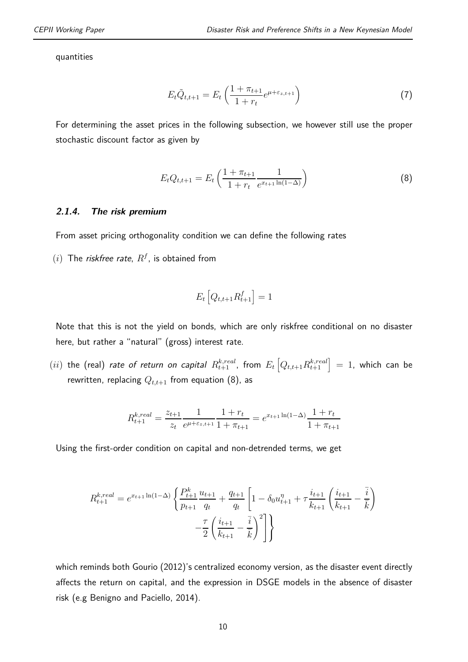quantities

$$
E_t \tilde{Q}_{t,t+1} = E_t \left( \frac{1 + \pi_{t+1}}{1 + r_t} e^{\mu + \varepsilon_{z,t+1}} \right)
$$
 (7)

For determining the asset prices in the following subsection, we however still use the proper stochastic discount factor as given by

$$
E_t Q_{t,t+1} = E_t \left( \frac{1 + \pi_{t+1}}{1 + r_t} \frac{1}{e^{x_{t+1} \ln(1 - \Delta)}} \right)
$$
(8)

#### **2.1.4. The risk premium**

From asset pricing orthogonality condition we can define the following rates

 $(i)$  The *riskfree rate*,  $R^f$ , is obtained from

$$
E_t\left[Q_{t,t+1}R_{t+1}^f\right] = 1
$$

Note that this is not the yield on bonds, which are only riskfree conditional on no disaster here, but rather a "natural" (gross) interest rate.

 $(ii)$  the (real) *rate of return on capital*  $R_{t+1}^{k,real}$ *, from*  $E_t\left[Q_{t,t+1}R_{t+1}^{k,real}\right]=1$ *, which can be* rewritten, replacing  $Q_{t,t+1}$  from equation (8), as

$$
R_{t+1}^{k,real} = \frac{z_{t+1}}{z_t} \frac{1}{e^{\mu + \varepsilon_{z,t+1}}} \frac{1 + r_t}{1 + \pi_{t+1}} = e^{x_{t+1} \ln(1 - \Delta)} \frac{1 + r_t}{1 + \pi_{t+1}}
$$

Using the first-order condition on capital and non-detrended terms, we get

$$
R_{t+1}^{k,real} = e^{x_{t+1}\ln(1-\Delta)} \left\{ \frac{P_{t+1}^k}{p_{t+1}} \frac{u_{t+1}}{q_t} + \frac{q_{t+1}}{q_t} \left[ 1 - \delta_0 u_{t+1}^{\eta} + \tau \frac{i_{t+1}}{k_{t+1}} \left( \frac{i_{t+1}}{k_{t+1}} - \frac{\overline{i}}{k} \right) \right] - \frac{\tau}{2} \left( \frac{i_{t+1}}{k_{t+1}} - \frac{\overline{i}}{k} \right)^2 \right\}
$$

which reminds both Gourio (2012)'s centralized economy version, as the disaster event directly affects the return on capital, and the expression in DSGE models in the absence of disaster risk (e.g Benigno and Paciello, 2014).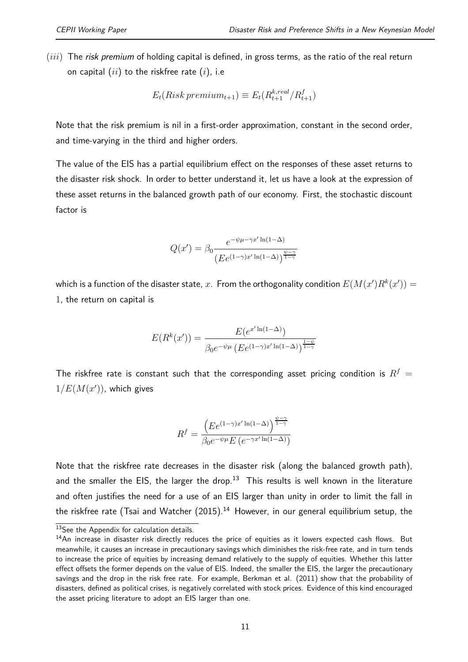(*iii*) The *risk premium* of holding capital is defined, in gross terms, as the ratio of the real return on capital (*ii*) to the riskfree rate (*i*), i.e

$$
E_t(Risk\,premium_{t+1}) \equiv E_t(R_{t+1}^{k,real}/R_{t+1}^f)
$$

Note that the risk premium is nil in a first-order approximation, constant in the second order, and time-varying in the third and higher orders.

The value of the EIS has a partial equilibrium effect on the responses of these asset returns to the disaster risk shock. In order to better understand it, let us have a look at the expression of these asset returns in the balanced growth path of our economy. First, the stochastic discount factor is

$$
Q(x') = \beta_0 \frac{e^{-\psi\mu - \gamma x' \ln(1-\Delta)}}{(E e^{(1-\gamma)x' \ln(1-\Delta)})^{\frac{\psi-\gamma}{1-\gamma}}}
$$

which is a function of the disaster state,  $x$ . From the orthogonality condition  $E(M(x')R^k(x'))=0$ 1, the return on capital is

$$
E(R^{k}(x')) = \frac{E(e^{x' \ln(1-\Delta)})}{\beta_0 e^{-\psi \mu} \left( E e^{(1-\gamma)x' \ln(1-\Delta)} \right)^{\frac{1-\psi}{1-\gamma}}}
$$

The riskfree rate is constant such that the corresponding asset pricing condition is  $R^f$  =  $1/E(M(x'))$ , which gives

$$
R^{f} = \frac{\left( E e^{(1-\gamma)x' \ln(1-\Delta)} \right)^{\frac{\psi-\gamma}{1-\gamma}}}{\beta_0 e^{-\psi \mu} E \left( e^{-\gamma x' \ln(1-\Delta)} \right)}
$$

Note that the riskfree rate decreases in the disaster risk (along the balanced growth path), and the smaller the EIS, the larger the drop.<sup>13</sup> This results is well known in the literature and often justifies the need for a use of an EIS larger than unity in order to limit the fall in the riskfree rate (Tsai and Watcher  $(2015).<sup>14</sup>$  However, in our general equilibrium setup, the

<sup>&</sup>lt;sup>13</sup>See the Appendix for calculation details.

 $14$ An increase in disaster risk directly reduces the price of equities as it lowers expected cash flows. But meanwhile, it causes an increase in precautionary savings which diminishes the risk-free rate, and in turn tends to increase the price of equities by increasing demand relatively to the supply of equities. Whether this latter effect offsets the former depends on the value of EIS. Indeed, the smaller the EIS, the larger the precautionary savings and the drop in the risk free rate. For example, Berkman et al. (2011) show that the probability of disasters, defined as political crises, is negatively correlated with stock prices. Evidence of this kind encouraged the asset pricing literature to adopt an EIS larger than one.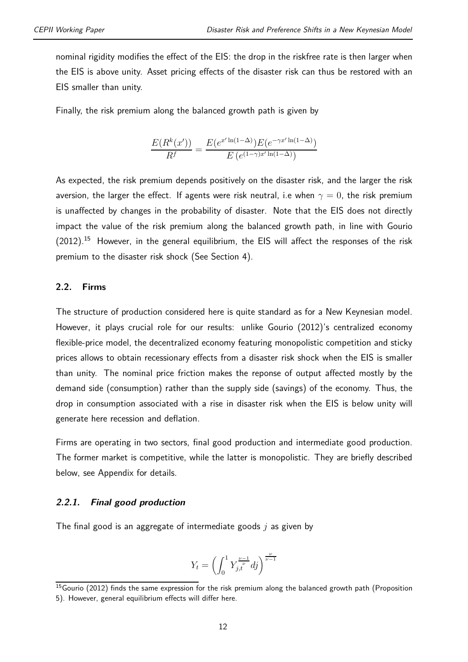nominal rigidity modifies the effect of the EIS: the drop in the riskfree rate is then larger when the EIS is above unity. Asset pricing effects of the disaster risk can thus be restored with an EIS smaller than unity.

Finally, the risk premium along the balanced growth path is given by

$$
\frac{E(R^k(x'))}{R^f} = \frac{E(e^{x'\ln(1-\Delta)})E(e^{-\gamma x'\ln(1-\Delta)})}{E(e^{(1-\gamma)x'\ln(1-\Delta)})}
$$

As expected, the risk premium depends positively on the disaster risk, and the larger the risk aversion, the larger the effect. If agents were risk neutral, i.e when  $\gamma = 0$ , the risk premium is unaffected by changes in the probability of disaster. Note that the EIS does not directly impact the value of the risk premium along the balanced growth path, in line with Gourio  $(2012).$ <sup>15</sup> However, in the general equilibrium, the EIS will affect the responses of the risk premium to the disaster risk shock (See Section 4).

#### **2.2. Firms**

The structure of production considered here is quite standard as for a New Keynesian model. However, it plays crucial role for our results: unlike Gourio (2012)'s centralized economy flexible-price model, the decentralized economy featuring monopolistic competition and sticky prices allows to obtain recessionary effects from a disaster risk shock when the EIS is smaller than unity. The nominal price friction makes the reponse of output affected mostly by the demand side (consumption) rather than the supply side (savings) of the economy. Thus, the drop in consumption associated with a rise in disaster risk when the EIS is below unity will generate here recession and deflation.

Firms are operating in two sectors, final good production and intermediate good production. The former market is competitive, while the latter is monopolistic. They are briefly described below, see Appendix for details.

#### **2.2.1. Final good production**

The final good is an aggregate of intermediate goods *j* as given by

$$
Y_t = \left(\int_0^1 Y_{j,t}^{\frac{\nu-1}{\nu}} df\right)^{\frac{\nu}{\nu-1}}
$$

 $15$ Gourio (2012) finds the same expression for the risk premium along the balanced growth path (Proposition 5). However, general equilibrium effects will differ here.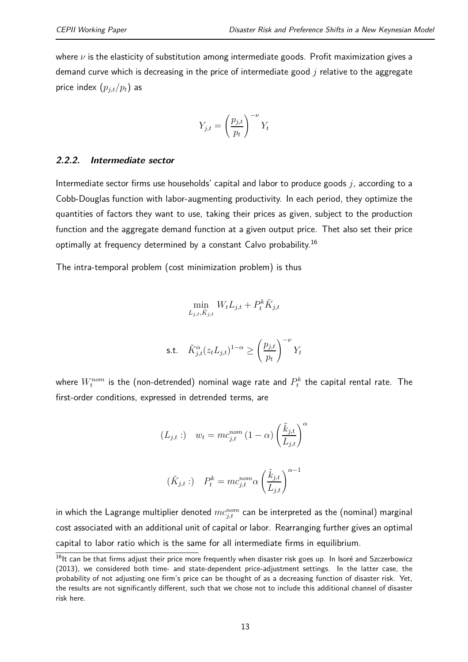where *ν* is the elasticity of substitution among intermediate goods. Profit maximization gives a demand curve which is decreasing in the price of intermediate good *j* relative to the aggregate price index  $(p_{j,t}/p_t)$  as

$$
Y_{j,t} = \left(\frac{p_{j,t}}{p_t}\right)^{-\nu} Y_t
$$

#### **2.2.2. Intermediate sector**

Intermediate sector firms use households' capital and labor to produce goods *j*, according to a Cobb-Douglas function with labor-augmenting productivity. In each period, they optimize the quantities of factors they want to use, taking their prices as given, subject to the production function and the aggregate demand function at a given output price. Thet also set their price optimally at frequency determined by a constant Calvo probability.<sup>16</sup>

The intra-temporal problem (cost minimization problem) is thus

$$
\min_{L_{j,t}, \tilde{K}_{j,t}} W_t L_{j,t} + P_t^k \tilde{K}_{j,t}
$$
\ns.t. 
$$
\tilde{K}_{j,t}^{\alpha} (z_t L_{j,t})^{1-\alpha} \ge \left(\frac{p_{j,t}}{p_t}\right)^{-\nu} Y_t
$$

where  $W_t^{nom}$  is the (non-detrended) nominal wage rate and  $P_t^k$  the capital rental rate. The first-order conditions, expressed in detrended terms, are

$$
(L_{j,t}:) \t w_t = mc_{j,t}^{nom} (1 - \alpha) \left(\frac{\tilde{k}_{j,t}}{L_{j,t}}\right)^{\alpha}
$$

$$
(\tilde{K}_{j,t}:) \t P_t^k = mc_{j,t}^{nom} \alpha \left(\frac{\tilde{k}_{j,t}}{L_{j,t}}\right)^{\alpha - 1}
$$

in which the Lagrange multiplier denoted  $mc_{j,t}^{nom}$  can be interpreted as the (nominal) marginal cost associated with an additional unit of capital or labor. Rearranging further gives an optimal capital to labor ratio which is the same for all intermediate firms in equilibrium.

<sup>&</sup>lt;sup>16</sup>lt can be that firms adjust their price more frequently when disaster risk goes up. In Isoré and Szczerbowicz (2013), we considered both time- and state-dependent price-adjustment settings. In the latter case, the probability of not adjusting one firm's price can be thought of as a decreasing function of disaster risk. Yet, the results are not significantly different, such that we chose not to include this additional channel of disaster risk here.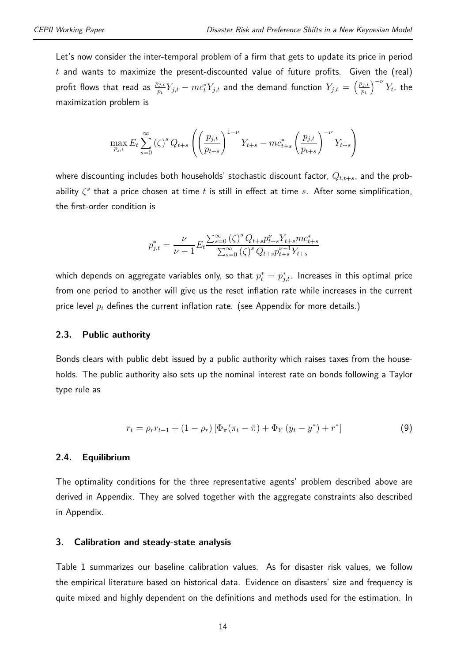Let's now consider the inter-temporal problem of a firm that gets to update its price in period *t* and wants to maximize the present-discounted value of future profits. Given the (real) profit flows that read as  $\frac{p_{j,t}}{p_t}Y_{j,t} - mc_t^*Y_{j,t}$  and the demand function  $Y_{j,t} = \left(\frac{p_{j,t}}{p_t}\right)$ *pt*  $\int$ <sup>-*ν*</sup>  $Y_t$ , the maximization problem is

$$
\max_{p_{j,t}} E_t \sum_{s=0}^{\infty} (\zeta)^s Q_{t+s} \left( \left( \frac{p_{j,t}}{p_{t+s}} \right)^{1-\nu} Y_{t+s} - mc_{t+s}^* \left( \frac{p_{j,t}}{p_{t+s}} \right)^{-\nu} Y_{t+s} \right)
$$

where discounting includes both households' stochastic discount factor, *Qt,t*+*s*, and the probability *ζ s* that a price chosen at time *t* is still in effect at time *s*. After some simplification, the first-order condition is

$$
p_{j,t}^* = \frac{\nu}{\nu - 1} E_t \frac{\sum_{s=0}^{\infty} (\zeta)^s Q_{t+s} p_{t+s}^{\nu} Y_{t+s} m c_{t+s}^*}{\sum_{s=0}^{\infty} (\zeta)^s Q_{t+s} p_{t+s}^{\nu-1} Y_{t+s}}
$$

which depends on aggregate variables only, so that  $p_{t}^{*} = p_{j,t}^{*}.$  Increases in this optimal price from one period to another will give us the reset inflation rate while increases in the current price level *p<sup>t</sup>* defines the current inflation rate. (see Appendix for more details.)

#### **2.3. Public authority**

Bonds clears with public debt issued by a public authority which raises taxes from the households. The public authority also sets up the nominal interest rate on bonds following a Taylor type rule as

$$
r_{t} = \rho_{r} r_{t-1} + (1 - \rho_{r}) \left[ \Phi_{\pi} (\pi_{t} - \bar{\pi}) + \Phi_{Y} (y_{t} - y^{*}) + r^{*} \right]
$$
(9)

#### **2.4. Equilibrium**

The optimality conditions for the three representative agents' problem described above are derived in Appendix. They are solved together with the aggregate constraints also described in Appendix.

#### **3. Calibration and steady-state analysis**

Table 1 summarizes our baseline calibration values. As for disaster risk values, we follow the empirical literature based on historical data. Evidence on disasters' size and frequency is quite mixed and highly dependent on the definitions and methods used for the estimation. In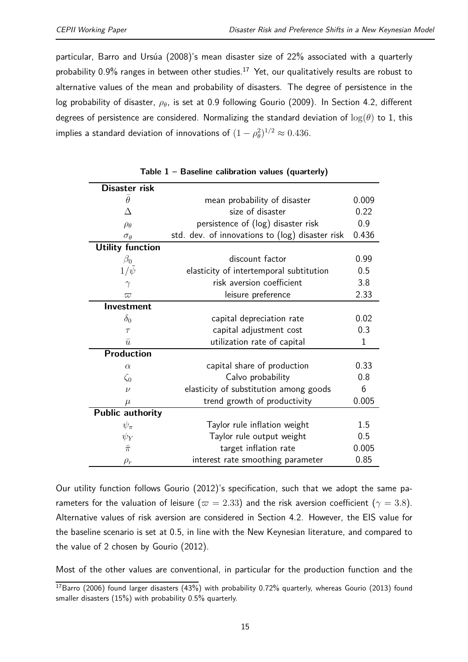particular, Barro and Ursúa (2008)'s mean disaster size of 22% associated with a quarterly probability  $0.9\%$  ranges in between other studies.<sup>17</sup> Yet, our qualitatively results are robust to alternative values of the mean and probability of disasters. The degree of persistence in the log probability of disaster, *ρ*<sup>*θ*</sup>, is set at 0.9 following Gourio (2009). In Section 4.2, different degrees of persistence are considered. Normalizing the standard deviation of log(*θ*) to 1, this implies a standard deviation of innovations of  $(1-\rho_\theta^2)^{1/2}\approx 0.436.$ 

| Disaster risk           |                                                 |             |
|-------------------------|-------------------------------------------------|-------------|
| $\theta$                | mean probability of disaster                    | 0.009       |
| Δ                       | size of disaster                                | 0.22        |
| $\rho_\theta$           | persistence of (log) disaster risk              | 0.9         |
| $\sigma_{\theta}$       | std. dev. of innovations to (log) disaster risk | 0.436       |
| <b>Utility function</b> |                                                 |             |
| $\beta_0$               | discount factor                                 | 0.99        |
| $1/\psi$                | elasticity of intertemporal subtitution         | 0.5         |
| $\gamma$                | risk aversion coefficient                       | 3.8         |
| $\varpi$                | leisure preference                              | 2.33        |
| Investment              |                                                 |             |
| $\delta_0$              | capital depreciation rate                       | 0.02        |
| $\tau$                  | capital adjustment cost                         | 0.3         |
| $\bar{u}$               | utilization rate of capital                     | $\mathbf 1$ |
| <b>Production</b>       |                                                 |             |
| $\alpha$                | capital share of production                     | 0.33        |
| $\zeta_0$               | Calvo probability                               | 0.8         |
| $\nu$                   | elasticity of substitution among goods          | 6           |
| $\mu$                   | trend growth of productivity                    | 0.005       |
| Public authority        |                                                 |             |
| $\psi_\pi$              | Taylor rule inflation weight                    | 1.5         |
| $\psi_Y$                | Taylor rule output weight                       | 0.5         |
| $\bar{\pi}$             | target inflation rate                           | 0.005       |
| $\rho_r$                | interest rate smoothing parameter               | 0.85        |

|  |  | Table 1 - Baseline calibration values (quarterly) |  |  |  |
|--|--|---------------------------------------------------|--|--|--|
|--|--|---------------------------------------------------|--|--|--|

Our utility function follows Gourio (2012)'s specification, such that we adopt the same parameters for the valuation of leisure ( $\varpi = 2.33$ ) and the risk aversion coefficient ( $\gamma = 3.8$ ). Alternative values of risk aversion are considered in Section 4.2. However, the EIS value for the baseline scenario is set at 0.5, in line with the New Keynesian literature, and compared to the value of 2 chosen by Gourio (2012).

Most of the other values are conventional, in particular for the production function and the

 $17B$ arro (2006) found larger disasters (43%) with probability 0.72% quarterly, whereas Gourio (2013) found smaller disasters (15%) with probability 0.5% quarterly.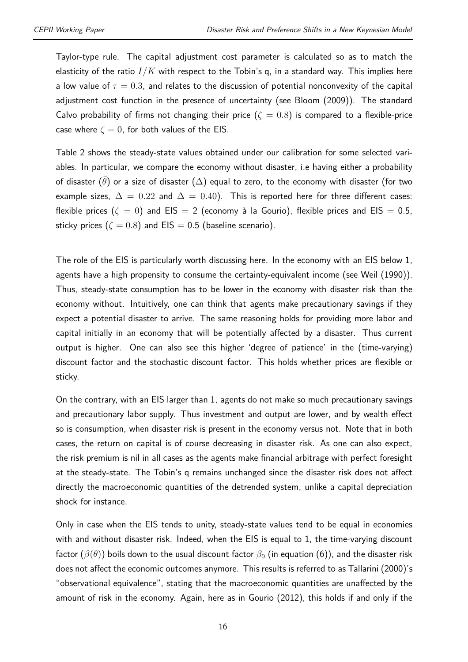Taylor-type rule. The capital adjustment cost parameter is calculated so as to match the elasticity of the ratio  $I/K$  with respect to the Tobin's q, in a standard way. This implies here a low value of  $\tau = 0.3$ , and relates to the discussion of potential nonconvexity of the capital adjustment cost function in the presence of uncertainty (see Bloom (2009)). The standard Calvo probability of firms not changing their price  $(\zeta = 0.8)$  is compared to a flexible-price case where  $\zeta = 0$ , for both values of the EIS.

Table 2 shows the steady-state values obtained under our calibration for some selected variables. In particular, we compare the economy without disaster, i.e having either a probability of disaster  $(\theta)$  or a size of disaster  $(\Delta)$  equal to zero, to the economy with disaster (for two example sizes,  $\Delta = 0.22$  and  $\Delta = 0.40$ ). This is reported here for three different cases: flexible prices  $(\zeta = 0)$  and EIS = 2 (economy à la Gourio), flexible prices and EIS = 0.5, sticky prices ( $\zeta = 0.8$ ) and EIS = 0.5 (baseline scenario).

The role of the EIS is particularly worth discussing here. In the economy with an EIS below 1, agents have a high propensity to consume the certainty-equivalent income (see Weil (1990)). Thus, steady-state consumption has to be lower in the economy with disaster risk than the economy without. Intuitively, one can think that agents make precautionary savings if they expect a potential disaster to arrive. The same reasoning holds for providing more labor and capital initially in an economy that will be potentially affected by a disaster. Thus current output is higher. One can also see this higher 'degree of patience' in the (time-varying) discount factor and the stochastic discount factor. This holds whether prices are flexible or sticky.

On the contrary, with an EIS larger than 1, agents do not make so much precautionary savings and precautionary labor supply. Thus investment and output are lower, and by wealth effect so is consumption, when disaster risk is present in the economy versus not. Note that in both cases, the return on capital is of course decreasing in disaster risk. As one can also expect, the risk premium is nil in all cases as the agents make financial arbitrage with perfect foresight at the steady-state. The Tobin's q remains unchanged since the disaster risk does not affect directly the macroeconomic quantities of the detrended system, unlike a capital depreciation shock for instance.

Only in case when the EIS tends to unity, steady-state values tend to be equal in economies with and without disaster risk. Indeed, when the EIS is equal to 1, the time-varying discount factor ( $\beta(\theta)$ ) boils down to the usual discount factor  $\beta_0$  (in equation (6)), and the disaster risk does not affect the economic outcomes anymore. This results is referred to as Tallarini (2000)'s "observational equivalence", stating that the macroeconomic quantities are unaffected by the amount of risk in the economy. Again, here as in Gourio (2012), this holds if and only if the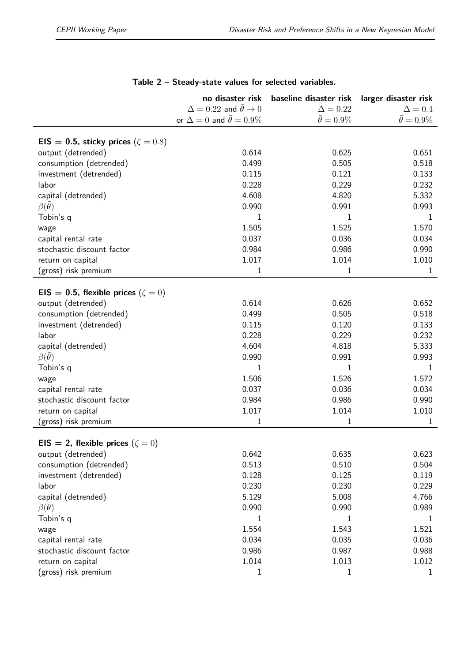|                                            | no disaster risk                                 | baseline disaster risk | larger disaster risk   |
|--------------------------------------------|--------------------------------------------------|------------------------|------------------------|
|                                            | $\Delta = 0.22$ and $\bar{\theta} \rightarrow 0$ | $\Delta = 0.22$        | $\Delta = 0.4$         |
|                                            | or $\Delta = 0$ and $\theta = 0.9\%$             | $\bar{\theta} = 0.9\%$ | $\bar{\theta} = 0.9\%$ |
|                                            |                                                  |                        |                        |
| EIS = 0.5, sticky prices ( $\zeta = 0.8$ ) |                                                  |                        |                        |
| output (detrended)                         | 0.614                                            | 0.625                  | 0.651                  |
| consumption (detrended)                    | 0.499                                            | 0.505                  | 0.518                  |
| investment (detrended)                     | 0.115                                            | 0.121                  | 0.133                  |
| labor                                      | 0.228                                            | 0.229                  | 0.232                  |
| capital (detrended)                        | 4.608                                            | 4.820                  | 5.332                  |
| $\beta(\theta)$                            | 0.990                                            | 0.991                  | 0.993                  |
| Tobin's q                                  | 1                                                | 1                      | 1                      |
| wage                                       | 1.505                                            | 1.525                  | 1.570                  |
| capital rental rate                        | 0.037                                            | 0.036                  | 0.034                  |
| stochastic discount factor                 | 0.984                                            | 0.986                  | 0.990                  |
| return on capital                          | 1.017                                            | 1.014                  | 1.010                  |
| (gross) risk premium                       | 1                                                | 1                      | 1                      |
|                                            |                                                  |                        |                        |
| EIS = 0.5, flexible prices ( $\zeta = 0$ ) |                                                  |                        |                        |
| output (detrended)                         | 0.614                                            | 0.626                  | 0.652                  |
| consumption (detrended)                    | 0.499                                            | 0.505                  | 0.518                  |
| investment (detrended)                     | 0.115                                            | 0.120                  | 0.133                  |
| labor                                      | 0.228                                            | 0.229                  | 0.232                  |
| capital (detrended)                        | 4.604                                            | 4.818                  | 5.333                  |
| $\beta(\theta)$                            | 0.990                                            | 0.991                  | 0.993                  |
| Tobin's q                                  | 1                                                | 1                      | 1                      |
| wage                                       | 1.506                                            | 1.526                  | 1.572                  |
| capital rental rate                        | 0.037                                            | 0.036                  | 0.034                  |
| stochastic discount factor                 | 0.984                                            | 0.986                  | 0.990                  |
| return on capital                          | 1.017                                            | 1.014                  | 1.010                  |
| (gross) risk premium                       | 1                                                | 1                      | 1                      |
|                                            |                                                  |                        |                        |
| EIS = 2, flexible prices $(\zeta = 0)$     |                                                  |                        |                        |
| output (detrended)                         | 0.642                                            | 0.635                  | 0.623                  |
| consumption (detrended)                    | 0.513                                            | 0.510                  | 0.504                  |
| investment (detrended)                     | 0.128                                            | 0.125                  | 0.119                  |
| labor                                      | 0.230                                            | 0.230                  | 0.229                  |
| capital (detrended)                        | 5.129                                            | 5.008                  | 4.766                  |
| $\beta(\bar{\theta})$                      | 0.990                                            | 0.990                  | 0.989                  |
| Tobin's q                                  | 1                                                | 1                      | 1                      |
| wage                                       | 1.554                                            | 1.543                  | 1.521                  |
| capital rental rate                        | 0.034                                            | 0.035                  | 0.036                  |
| stochastic discount factor                 | 0.986                                            | 0.987                  | 0.988                  |
| return on capital                          | 1.014                                            | 1.013                  | 1.012                  |
| (gross) risk premium                       | 1                                                | 1                      | $\mathbf{1}$           |

#### **Table 2 – Steady-state values for selected variables.**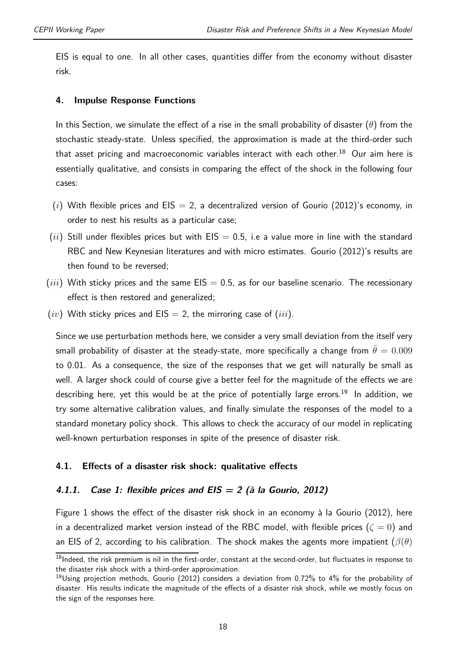EIS is equal to one. In all other cases, quantities differ from the economy without disaster risk.

#### **4. Impulse Response Functions**

In this Section, we simulate the effect of a rise in the small probability of disaster (*θ*) from the stochastic steady-state. Unless specified, the approximation is made at the third-order such that asset pricing and macroeconomic variables interact with each other.<sup>18</sup> Our aim here is essentially qualitative, and consists in comparing the effect of the shock in the following four cases:

- $(i)$  With flexible prices and EIS = 2, a decentralized version of Gourio (2012)'s economy, in order to nest his results as a particular case;
- $(ii)$  Still under flexibles prices but with EIS  $= 0.5$ , i.e a value more in line with the standard RBC and New Keynesian literatures and with micro estimates. Gourio (2012)'s results are then found to be reversed;
- $(iii)$  With sticky prices and the same  $EIS = 0.5$ , as for our baseline scenario. The recessionary effect is then restored and generalized;
- $(iv)$  With sticky prices and  $EIS = 2$ , the mirroring case of  $(iii)$ .

Since we use perturbation methods here, we consider a very small deviation from the itself very small probability of disaster at the steady-state, more specifically a change from  $\theta = 0.009$ to 0.01. As a consequence, the size of the responses that we get will naturally be small as well. A larger shock could of course give a better feel for the magnitude of the effects we are describing here, yet this would be at the price of potentially large errors.<sup>19</sup> In addition, we try some alternative calibration values, and finally simulate the responses of the model to a standard monetary policy shock. This allows to check the accuracy of our model in replicating well-known perturbation responses in spite of the presence of disaster risk.

#### **4.1. Effects of a disaster risk shock: qualitative effects**

#### **4.1.1. Case 1: flexible prices and EIS = 2 (à la Gourio, 2012)**

Figure 1 shows the effect of the disaster risk shock in an economy à la Gourio (2012), here in a decentralized market version instead of the RBC model, with flexible prices  $(\zeta = 0)$  and an EIS of 2, according to his calibration. The shock makes the agents more impatient (*β*(*θ*)

 $18$ Indeed, the risk premium is nil in the first-order, constant at the second-order, but fluctuates in response to the disaster risk shock with a third-order approximation.

 $19$ Using projection methods, Gourio (2012) considers a deviation from 0.72% to 4% for the probability of disaster. His results indicate the magnitude of the effects of a disaster risk shock, while we mostly focus on the sign of the responses here.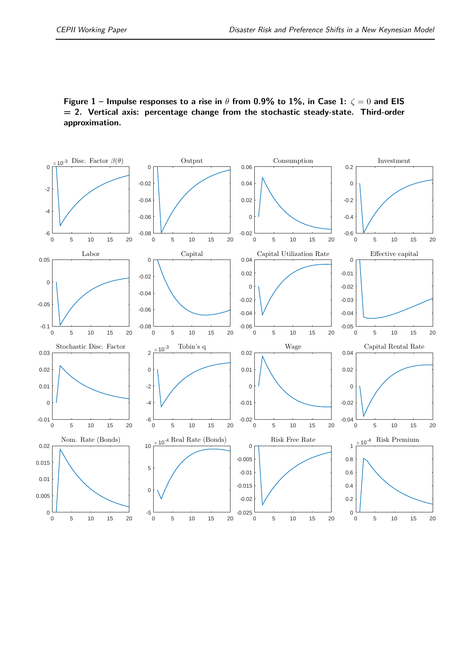**Figure 1 – Impulse responses to a rise in** *θ* **from 0.9% to 1%, in Case 1:** *ζ* = 0 **and EIS = 2. Vertical axis: percentage change from the stochastic steady-state. Third-order approximation.**

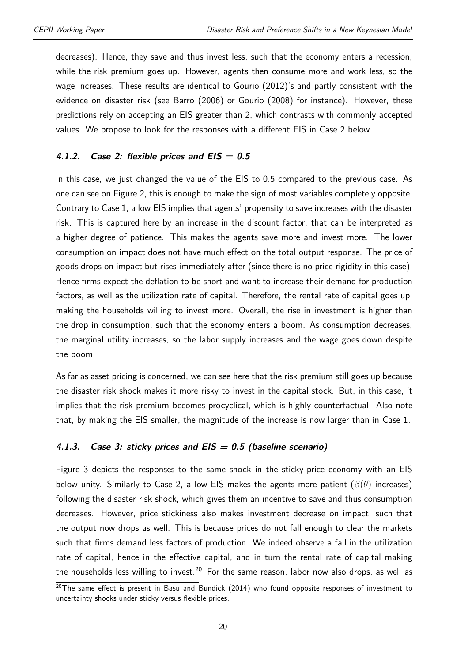decreases). Hence, they save and thus invest less, such that the economy enters a recession, while the risk premium goes up. However, agents then consume more and work less, so the wage increases. These results are identical to Gourio (2012)'s and partly consistent with the evidence on disaster risk (see Barro (2006) or Gourio (2008) for instance). However, these predictions rely on accepting an EIS greater than 2, which contrasts with commonly accepted values. We propose to look for the responses with a different EIS in Case 2 below.

#### **4.1.2. Case 2: flexible prices and EIS = 0.5**

In this case, we just changed the value of the EIS to 0.5 compared to the previous case. As one can see on Figure 2, this is enough to make the sign of most variables completely opposite. Contrary to Case 1, a low EIS implies that agents' propensity to save increases with the disaster risk. This is captured here by an increase in the discount factor, that can be interpreted as a higher degree of patience. This makes the agents save more and invest more. The lower consumption on impact does not have much effect on the total output response. The price of goods drops on impact but rises immediately after (since there is no price rigidity in this case). Hence firms expect the deflation to be short and want to increase their demand for production factors, as well as the utilization rate of capital. Therefore, the rental rate of capital goes up, making the households willing to invest more. Overall, the rise in investment is higher than the drop in consumption, such that the economy enters a boom. As consumption decreases, the marginal utility increases, so the labor supply increases and the wage goes down despite the boom.

As far as asset pricing is concerned, we can see here that the risk premium still goes up because the disaster risk shock makes it more risky to invest in the capital stock. But, in this case, it implies that the risk premium becomes procyclical, which is highly counterfactual. Also note that, by making the EIS smaller, the magnitude of the increase is now larger than in Case 1.

#### **4.1.3. Case 3: sticky prices and EIS = 0.5 (baseline scenario)**

Figure 3 depicts the responses to the same shock in the sticky-price economy with an EIS below unity. Similarly to Case 2, a low EIS makes the agents more patient (*β*(*θ*) increases) following the disaster risk shock, which gives them an incentive to save and thus consumption decreases. However, price stickiness also makes investment decrease on impact, such that the output now drops as well. This is because prices do not fall enough to clear the markets such that firms demand less factors of production. We indeed observe a fall in the utilization rate of capital, hence in the effective capital, and in turn the rental rate of capital making the households less willing to invest.<sup>20</sup> For the same reason, labor now also drops, as well as

 $20$ The same effect is present in Basu and Bundick (2014) who found opposite responses of investment to uncertainty shocks under sticky versus flexible prices.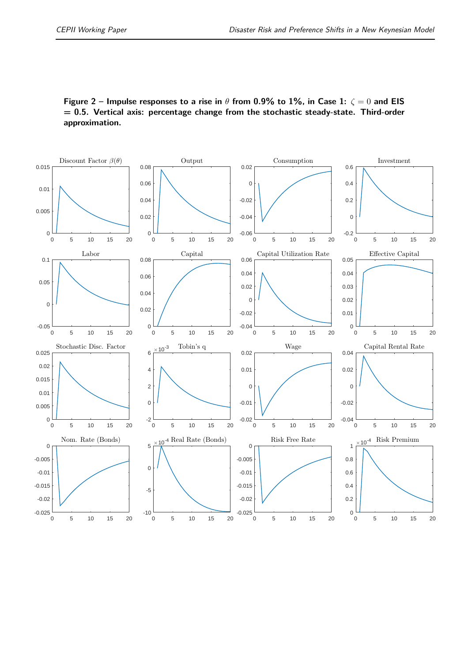**Figure 2 – Impulse responses to a rise in** *θ* **from 0.9% to 1%, in Case 1:** *ζ* = 0 **and EIS = 0.5. Vertical axis: percentage change from the stochastic steady-state. Third-order approximation.**

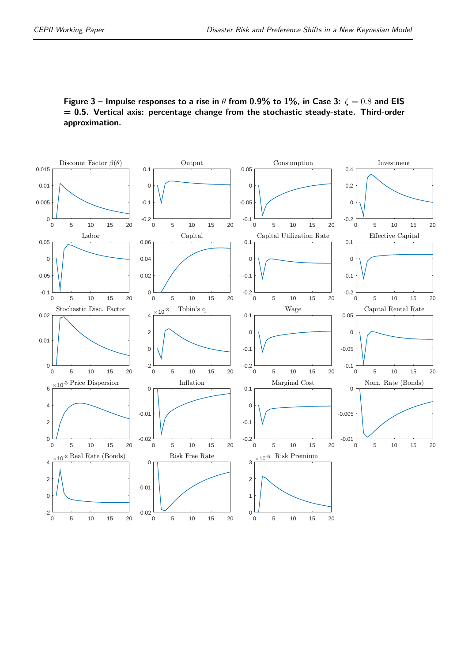**Figure 3 – Impulse responses to a rise in**  $\theta$  from 0.9% to 1%, in Case 3:  $\zeta = 0.8$  and EIS **= 0.5. Vertical axis: percentage change from the stochastic steady-state. Third-order approximation.**

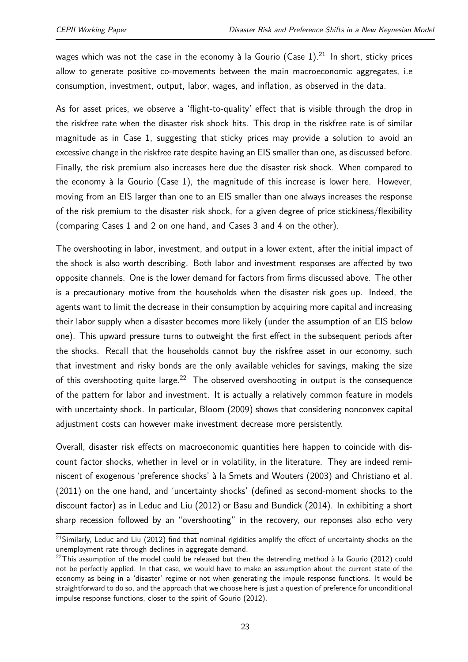wages which was not the case in the economy à la Gourio  $({\sf Case~1})^{.21}$  In short, sticky prices allow to generate positive co-movements between the main macroeconomic aggregates, i.e consumption, investment, output, labor, wages, and inflation, as observed in the data.

As for asset prices, we observe a 'flight-to-quality' effect that is visible through the drop in the riskfree rate when the disaster risk shock hits. This drop in the riskfree rate is of similar magnitude as in Case 1, suggesting that sticky prices may provide a solution to avoid an excessive change in the riskfree rate despite having an EIS smaller than one, as discussed before. Finally, the risk premium also increases here due the disaster risk shock. When compared to the economy à la Gourio (Case 1), the magnitude of this increase is lower here. However, moving from an EIS larger than one to an EIS smaller than one always increases the response of the risk premium to the disaster risk shock, for a given degree of price stickiness/flexibility (comparing Cases 1 and 2 on one hand, and Cases 3 and 4 on the other).

The overshooting in labor, investment, and output in a lower extent, after the initial impact of the shock is also worth describing. Both labor and investment responses are affected by two opposite channels. One is the lower demand for factors from firms discussed above. The other is a precautionary motive from the households when the disaster risk goes up. Indeed, the agents want to limit the decrease in their consumption by acquiring more capital and increasing their labor supply when a disaster becomes more likely (under the assumption of an EIS below one). This upward pressure turns to outweight the first effect in the subsequent periods after the shocks. Recall that the households cannot buy the riskfree asset in our economy, such that investment and risky bonds are the only available vehicles for savings, making the size of this overshooting quite large.<sup>22</sup> The observed overshooting in output is the consequence of the pattern for labor and investment. It is actually a relatively common feature in models with uncertainty shock. In particular, Bloom (2009) shows that considering nonconvex capital adjustment costs can however make investment decrease more persistently.

Overall, disaster risk effects on macroeconomic quantities here happen to coincide with discount factor shocks, whether in level or in volatility, in the literature. They are indeed reminiscent of exogenous 'preference shocks' à la Smets and Wouters (2003) and Christiano et al. (2011) on the one hand, and 'uncertainty shocks' (defined as second-moment shocks to the discount factor) as in Leduc and Liu (2012) or Basu and Bundick (2014). In exhibiting a short sharp recession followed by an "overshooting" in the recovery, our reponses also echo very

<sup>&</sup>lt;sup>21</sup>Similarly, Leduc and Liu (2012) find that nominal rigidities amplify the effect of uncertainty shocks on the unemployment rate through declines in aggregate demand.

 $22$ This assumption of the model could be released but then the detrending method à la Gourio (2012) could not be perfectly applied. In that case, we would have to make an assumption about the current state of the economy as being in a 'disaster' regime or not when generating the impule response functions. It would be straightforward to do so, and the approach that we choose here is just a question of preference for unconditional impulse response functions, closer to the spirit of Gourio (2012).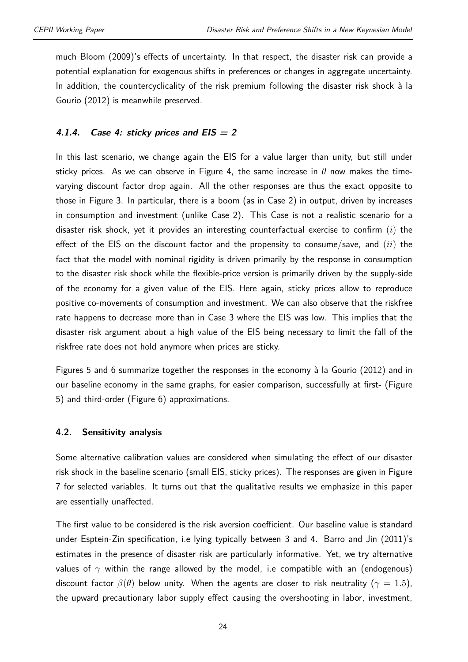much Bloom (2009)'s effects of uncertainty. In that respect, the disaster risk can provide a potential explanation for exogenous shifts in preferences or changes in aggregate uncertainty. In addition, the countercyclicality of the risk premium following the disaster risk shock à la Gourio (2012) is meanwhile preserved.

#### **4.1.4. Case 4: sticky prices and EIS = 2**

In this last scenario, we change again the EIS for a value larger than unity, but still under sticky prices. As we can observe in Figure 4, the same increase in  $\theta$  now makes the timevarying discount factor drop again. All the other responses are thus the exact opposite to those in Figure 3. In particular, there is a boom (as in Case 2) in output, driven by increases in consumption and investment (unlike Case 2). This Case is not a realistic scenario for a disaster risk shock, yet it provides an interesting counterfactual exercise to confirm (*i*) the effect of the EIS on the discount factor and the propensity to consume/save, and (*ii*) the fact that the model with nominal rigidity is driven primarily by the response in consumption to the disaster risk shock while the flexible-price version is primarily driven by the supply-side of the economy for a given value of the EIS. Here again, sticky prices allow to reproduce positive co-movements of consumption and investment. We can also observe that the riskfree rate happens to decrease more than in Case 3 where the EIS was low. This implies that the disaster risk argument about a high value of the EIS being necessary to limit the fall of the riskfree rate does not hold anymore when prices are sticky.

Figures 5 and 6 summarize together the responses in the economy à la Gourio (2012) and in our baseline economy in the same graphs, for easier comparison, successfully at first- (Figure 5) and third-order (Figure 6) approximations.

#### **4.2. Sensitivity analysis**

Some alternative calibration values are considered when simulating the effect of our disaster risk shock in the baseline scenario (small EIS, sticky prices). The responses are given in Figure 7 for selected variables. It turns out that the qualitative results we emphasize in this paper are essentially unaffected.

The first value to be considered is the risk aversion coefficient. Our baseline value is standard under Esptein-Zin specification, i.e lying typically between 3 and 4. Barro and Jin (2011)'s estimates in the presence of disaster risk are particularly informative. Yet, we try alternative values of  $\gamma$  within the range allowed by the model, i.e compatible with an (endogenous) discount factor  $\beta(\theta)$  below unity. When the agents are closer to risk neutrality ( $\gamma = 1.5$ ), the upward precautionary labor supply effect causing the overshooting in labor, investment,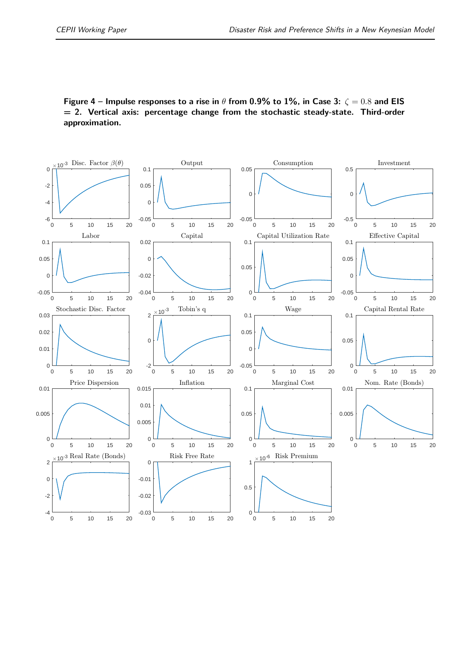**Figure 4 – Impulse responses to a rise in**  $\theta$  from 0.9% to 1%, in Case 3:  $\zeta = 0.8$  and EIS **= 2. Vertical axis: percentage change from the stochastic steady-state. Third-order approximation.**

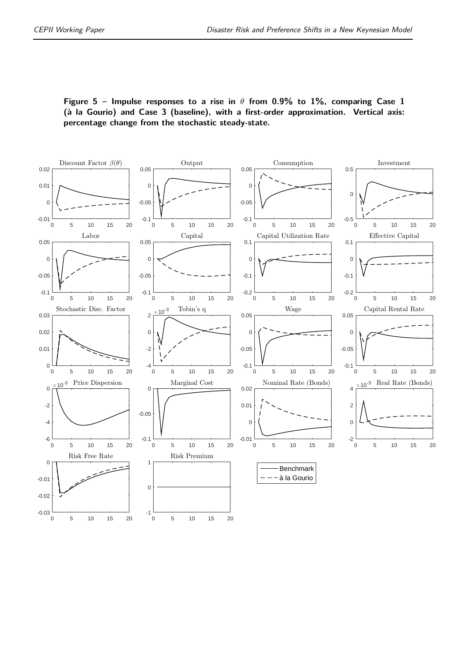**Figure 5 – Impulse responses to a rise in** *θ* **from 0.9% to 1%, comparing Case 1 (à la Gourio) and Case 3 (baseline), with a first-order approximation. Vertical axis: percentage change from the stochastic steady-state.**

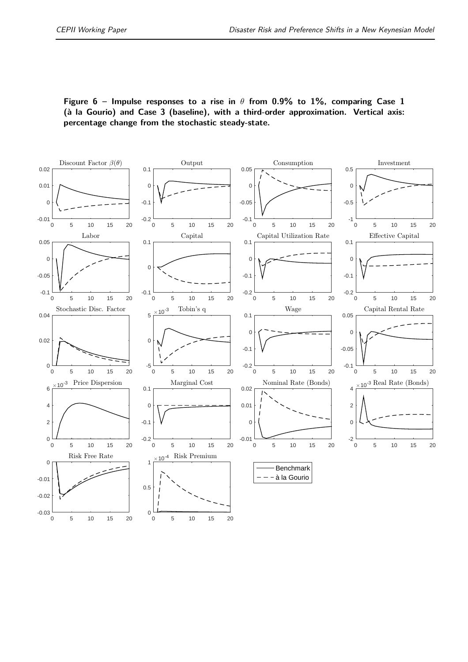**Figure 6 – Impulse responses to a rise in** *θ* **from 0.9% to 1%, comparing Case 1 (à la Gourio) and Case 3 (baseline), with a third-order approximation. Vertical axis: percentage change from the stochastic steady-state.**

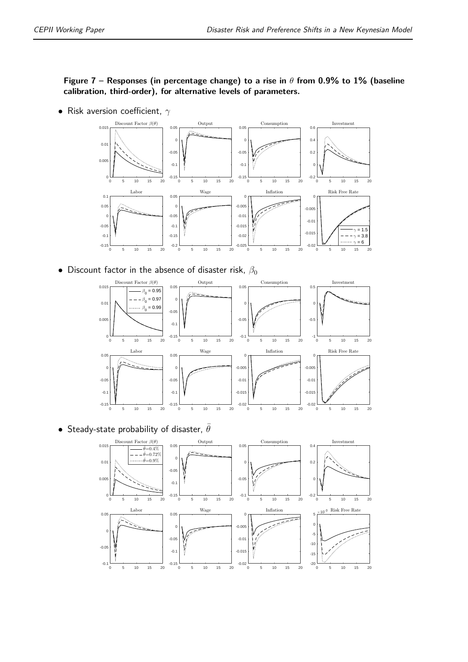#### **Figure 7 – Responses (in percentage change) to a rise in** *θ* **from 0.9% to 1% (baseline calibration, third-order), for alternative levels of parameters.**

• Risk aversion coefficient, *γ*



• Discount factor in the absence of disaster risk,  $\beta_0$ 



• Steady-state probability of disaster,  $\theta$ 

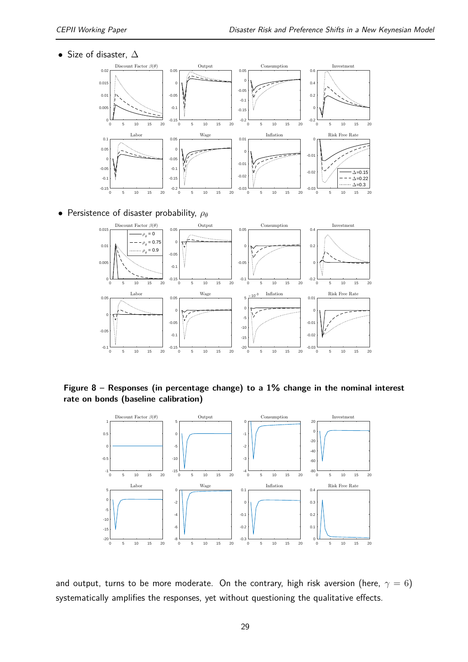• Size of disaster,  $\Delta$ 



• Persistence of disaster probability, *ρ<sup>θ</sup>*



**Figure 8 – Responses (in percentage change) to a 1% change in the nominal interest rate on bonds (baseline calibration)**



and output, turns to be more moderate. On the contrary, high risk aversion (here,  $\gamma = 6$ ) systematically amplifies the responses, yet without questioning the qualitative effects.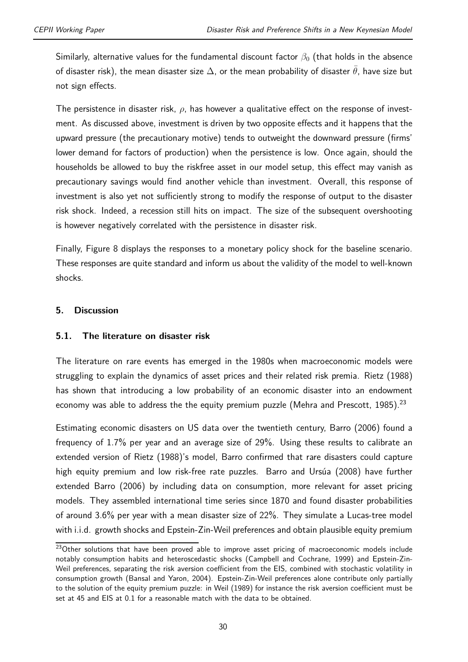Similarly, alternative values for the fundamental discount factor  $\beta_0$  (that holds in the absence of disaster risk), the mean disaster size  $\Delta$ , or the mean probability of disaster  $\bar{\theta}$ , have size but not sign effects.

The persistence in disaster risk, *ρ*, has however a qualitative effect on the response of investment. As discussed above, investment is driven by two opposite effects and it happens that the upward pressure (the precautionary motive) tends to outweight the downward pressure (firms' lower demand for factors of production) when the persistence is low. Once again, should the households be allowed to buy the riskfree asset in our model setup, this effect may vanish as precautionary savings would find another vehicle than investment. Overall, this response of investment is also yet not sufficiently strong to modify the response of output to the disaster risk shock. Indeed, a recession still hits on impact. The size of the subsequent overshooting is however negatively correlated with the persistence in disaster risk.

Finally, Figure 8 displays the responses to a monetary policy shock for the baseline scenario. These responses are quite standard and inform us about the validity of the model to well-known shocks.

#### **5. Discussion**

#### **5.1. The literature on disaster risk**

The literature on rare events has emerged in the 1980s when macroeconomic models were struggling to explain the dynamics of asset prices and their related risk premia. Rietz (1988) has shown that introducing a low probability of an economic disaster into an endowment economy was able to address the the equity premium puzzle (Mehra and Prescott,  $1985$ ).<sup>23</sup>

Estimating economic disasters on US data over the twentieth century, Barro (2006) found a frequency of 1.7% per year and an average size of 29%. Using these results to calibrate an extended version of Rietz (1988)'s model, Barro confirmed that rare disasters could capture high equity premium and low risk-free rate puzzles. Barro and Ursúa (2008) have further extended Barro (2006) by including data on consumption, more relevant for asset pricing models. They assembled international time series since 1870 and found disaster probabilities of around 3.6% per year with a mean disaster size of 22%. They simulate a Lucas-tree model with i.i.d. growth shocks and Epstein-Zin-Weil preferences and obtain plausible equity premium

<sup>&</sup>lt;sup>23</sup>Other solutions that have been proved able to improve asset pricing of macroeconomic models include notably consumption habits and heteroscedastic shocks (Campbell and Cochrane, 1999) and Epstein-Zin-Weil preferences, separating the risk aversion coefficient from the EIS, combined with stochastic volatility in consumption growth (Bansal and Yaron, 2004). Epstein-Zin-Weil preferences alone contribute only partially to the solution of the equity premium puzzle: in Weil (1989) for instance the risk aversion coefficient must be set at 45 and EIS at 0.1 for a reasonable match with the data to be obtained.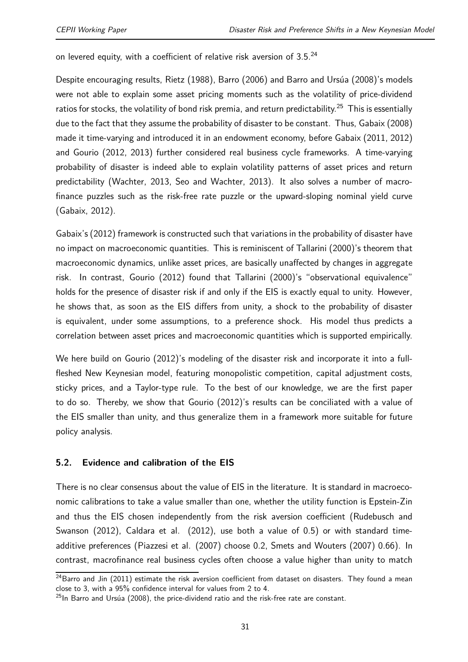on levered equity, with a coefficient of relative risk aversion of 3.5.24

Despite encouraging results, Rietz (1988), Barro (2006) and Barro and Ursúa (2008)'s models were not able to explain some asset pricing moments such as the volatility of price-dividend ratios for stocks, the volatility of bond risk premia, and return predictability.<sup>25</sup> This is essentially due to the fact that they assume the probability of disaster to be constant. Thus, Gabaix (2008) made it time-varying and introduced it in an endowment economy, before Gabaix (2011, 2012) and Gourio (2012, 2013) further considered real business cycle frameworks. A time-varying probability of disaster is indeed able to explain volatility patterns of asset prices and return predictability (Wachter, 2013, Seo and Wachter, 2013). It also solves a number of macrofinance puzzles such as the risk-free rate puzzle or the upward-sloping nominal yield curve (Gabaix, 2012).

Gabaix's (2012) framework is constructed such that variations in the probability of disaster have no impact on macroeconomic quantities. This is reminiscent of Tallarini (2000)'s theorem that macroeconomic dynamics, unlike asset prices, are basically unaffected by changes in aggregate risk. In contrast, Gourio (2012) found that Tallarini (2000)'s "observational equivalence" holds for the presence of disaster risk if and only if the EIS is exactly equal to unity. However, he shows that, as soon as the EIS differs from unity, a shock to the probability of disaster is equivalent, under some assumptions, to a preference shock. His model thus predicts a correlation between asset prices and macroeconomic quantities which is supported empirically.

We here build on Gourio (2012)'s modeling of the disaster risk and incorporate it into a fullfleshed New Keynesian model, featuring monopolistic competition, capital adjustment costs, sticky prices, and a Taylor-type rule. To the best of our knowledge, we are the first paper to do so. Thereby, we show that Gourio (2012)'s results can be conciliated with a value of the EIS smaller than unity, and thus generalize them in a framework more suitable for future policy analysis.

#### **5.2. Evidence and calibration of the EIS**

There is no clear consensus about the value of EIS in the literature. It is standard in macroeconomic calibrations to take a value smaller than one, whether the utility function is Epstein-Zin and thus the EIS chosen independently from the risk aversion coefficient (Rudebusch and Swanson (2012), Caldara et al. (2012), use both a value of 0.5) or with standard timeadditive preferences (Piazzesi et al. (2007) choose 0.2, Smets and Wouters (2007) 0.66). In contrast, macrofinance real business cycles often choose a value higher than unity to match

<sup>&</sup>lt;sup>24</sup>Barro and Jin (2011) estimate the risk aversion coefficient from dataset on disasters. They found a mean close to 3, with a 95% confidence interval for values from 2 to 4.

 $^{25}$ In Barro and Ursúa (2008), the price-dividend ratio and the risk-free rate are constant.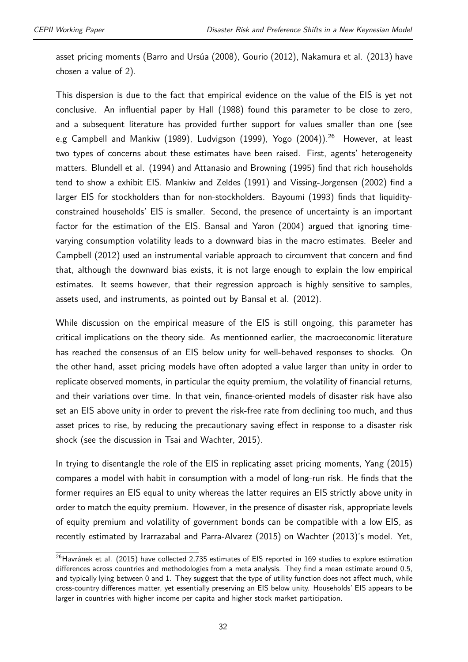asset pricing moments (Barro and Ursúa (2008), Gourio (2012), Nakamura et al. (2013) have chosen a value of 2).

This dispersion is due to the fact that empirical evidence on the value of the EIS is yet not conclusive. An influential paper by Hall (1988) found this parameter to be close to zero, and a subsequent literature has provided further support for values smaller than one (see e.g Campbell and Mankiw (1989), Ludvigson (1999), Yogo (2004)).<sup>26</sup> However, at least two types of concerns about these estimates have been raised. First, agents' heterogeneity matters. Blundell et al. (1994) and Attanasio and Browning (1995) find that rich households tend to show a exhibit EIS. Mankiw and Zeldes (1991) and Vissing-Jorgensen (2002) find a larger EIS for stockholders than for non-stockholders. Bayoumi (1993) finds that liquidityconstrained households' EIS is smaller. Second, the presence of uncertainty is an important factor for the estimation of the EIS. Bansal and Yaron (2004) argued that ignoring timevarying consumption volatility leads to a downward bias in the macro estimates. Beeler and Campbell (2012) used an instrumental variable approach to circumvent that concern and find that, although the downward bias exists, it is not large enough to explain the low empirical estimates. It seems however, that their regression approach is highly sensitive to samples, assets used, and instruments, as pointed out by Bansal et al. (2012).

While discussion on the empirical measure of the EIS is still ongoing, this parameter has critical implications on the theory side. As mentionned earlier, the macroeconomic literature has reached the consensus of an EIS below unity for well-behaved responses to shocks. On the other hand, asset pricing models have often adopted a value larger than unity in order to replicate observed moments, in particular the equity premium, the volatility of financial returns, and their variations over time. In that vein, finance-oriented models of disaster risk have also set an EIS above unity in order to prevent the risk-free rate from declining too much, and thus asset prices to rise, by reducing the precautionary saving effect in response to a disaster risk shock (see the discussion in Tsai and Wachter, 2015).

In trying to disentangle the role of the EIS in replicating asset pricing moments, Yang (2015) compares a model with habit in consumption with a model of long-run risk. He finds that the former requires an EIS equal to unity whereas the latter requires an EIS strictly above unity in order to match the equity premium. However, in the presence of disaster risk, appropriate levels of equity premium and volatility of government bonds can be compatible with a low EIS, as recently estimated by Irarrazabal and Parra-Alvarez (2015) on Wachter (2013)'s model. Yet,

<sup>&</sup>lt;sup>26</sup>Havránek et al. (2015) have collected 2,735 estimates of EIS reported in 169 studies to explore estimation differences across countries and methodologies from a meta analysis. They find a mean estimate around 0.5, and typically lying between 0 and 1. They suggest that the type of utility function does not affect much, while cross-country differences matter, yet essentially preserving an EIS below unity. Households' EIS appears to be larger in countries with higher income per capita and higher stock market participation.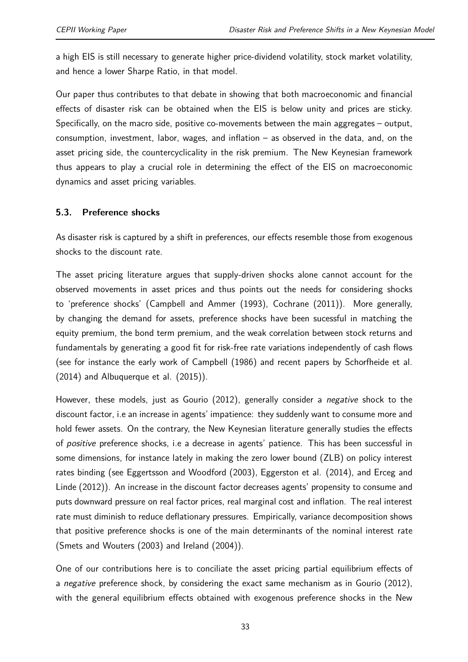a high EIS is still necessary to generate higher price-dividend volatility, stock market volatility, and hence a lower Sharpe Ratio, in that model.

Our paper thus contributes to that debate in showing that both macroeconomic and financial effects of disaster risk can be obtained when the EIS is below unity and prices are sticky. Specifically, on the macro side, positive co-movements between the main aggregates – output, consumption, investment, labor, wages, and inflation – as observed in the data, and, on the asset pricing side, the countercyclicality in the risk premium. The New Keynesian framework thus appears to play a crucial role in determining the effect of the EIS on macroeconomic dynamics and asset pricing variables.

#### **5.3. Preference shocks**

As disaster risk is captured by a shift in preferences, our effects resemble those from exogenous shocks to the discount rate.

The asset pricing literature argues that supply-driven shocks alone cannot account for the observed movements in asset prices and thus points out the needs for considering shocks to 'preference shocks' (Campbell and Ammer (1993), Cochrane (2011)). More generally, by changing the demand for assets, preference shocks have been sucessful in matching the equity premium, the bond term premium, and the weak correlation between stock returns and fundamentals by generating a good fit for risk-free rate variations independently of cash flows (see for instance the early work of Campbell (1986) and recent papers by Schorfheide et al. (2014) and Albuquerque et al. (2015)).

However, these models, just as Gourio (2012), generally consider a *negative* shock to the discount factor, i.e an increase in agents' impatience: they suddenly want to consume more and hold fewer assets. On the contrary, the New Keynesian literature generally studies the effects of *positive* preference shocks, i.e a decrease in agents' patience. This has been successful in some dimensions, for instance lately in making the zero lower bound (ZLB) on policy interest rates binding (see Eggertsson and Woodford (2003), Eggerston et al. (2014), and Erceg and Linde (2012)). An increase in the discount factor decreases agents' propensity to consume and puts downward pressure on real factor prices, real marginal cost and inflation. The real interest rate must diminish to reduce deflationary pressures. Empirically, variance decomposition shows that positive preference shocks is one of the main determinants of the nominal interest rate (Smets and Wouters (2003) and Ireland (2004)).

One of our contributions here is to conciliate the asset pricing partial equilibrium effects of a *negative* preference shock, by considering the exact same mechanism as in Gourio (2012), with the general equilibrium effects obtained with exogenous preference shocks in the New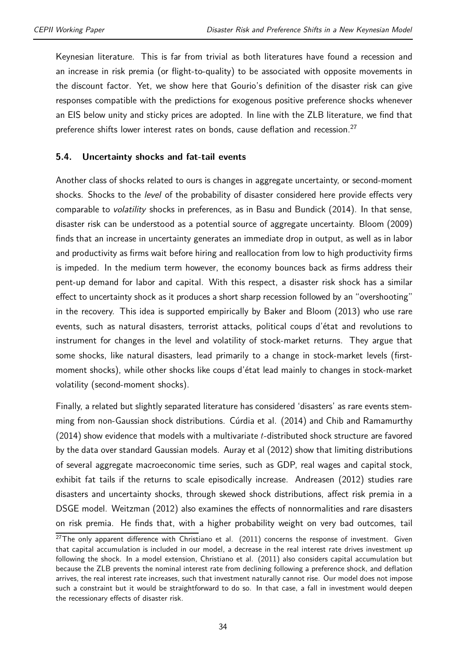Keynesian literature. This is far from trivial as both literatures have found a recession and an increase in risk premia (or flight-to-quality) to be associated with opposite movements in the discount factor. Yet, we show here that Gourio's definition of the disaster risk can give responses compatible with the predictions for exogenous positive preference shocks whenever an EIS below unity and sticky prices are adopted. In line with the ZLB literature, we find that preference shifts lower interest rates on bonds, cause deflation and recession.<sup>27</sup>

#### **5.4. Uncertainty shocks and fat-tail events**

Another class of shocks related to ours is changes in aggregate uncertainty, or second-moment shocks. Shocks to the *level* of the probability of disaster considered here provide effects very comparable to *volatility* shocks in preferences, as in Basu and Bundick (2014). In that sense, disaster risk can be understood as a potential source of aggregate uncertainty. Bloom (2009) finds that an increase in uncertainty generates an immediate drop in output, as well as in labor and productivity as firms wait before hiring and reallocation from low to high productivity firms is impeded. In the medium term however, the economy bounces back as firms address their pent-up demand for labor and capital. With this respect, a disaster risk shock has a similar effect to uncertainty shock as it produces a short sharp recession followed by an "overshooting" in the recovery. This idea is supported empirically by Baker and Bloom (2013) who use rare events, such as natural disasters, terrorist attacks, political coups d'état and revolutions to instrument for changes in the level and volatility of stock-market returns. They argue that some shocks, like natural disasters, lead primarily to a change in stock-market levels (firstmoment shocks), while other shocks like coups d'état lead mainly to changes in stock-market volatility (second-moment shocks).

Finally, a related but slightly separated literature has considered 'disasters' as rare events stemming from non-Gaussian shock distributions. Cúrdia et al. (2014) and Chib and Ramamurthy (2014) show evidence that models with a multivariate *t*-distributed shock structure are favored by the data over standard Gaussian models. Auray et al (2012) show that limiting distributions of several aggregate macroeconomic time series, such as GDP, real wages and capital stock, exhibit fat tails if the returns to scale episodically increase. Andreasen (2012) studies rare disasters and uncertainty shocks, through skewed shock distributions, affect risk premia in a DSGE model. Weitzman (2012) also examines the effects of nonnormalities and rare disasters on risk premia. He finds that, with a higher probability weight on very bad outcomes, tail

 $^{27}$ The only apparent difference with Christiano et al. (2011) concerns the response of investment. Given that capital accumulation is included in our model, a decrease in the real interest rate drives investment up following the shock. In a model extension, Christiano et al. (2011) also considers capital accumulation but because the ZLB prevents the nominal interest rate from declining following a preference shock, and deflation arrives, the real interest rate increases, such that investment naturally cannot rise. Our model does not impose such a constraint but it would be straightforward to do so. In that case, a fall in investment would deepen the recessionary effects of disaster risk.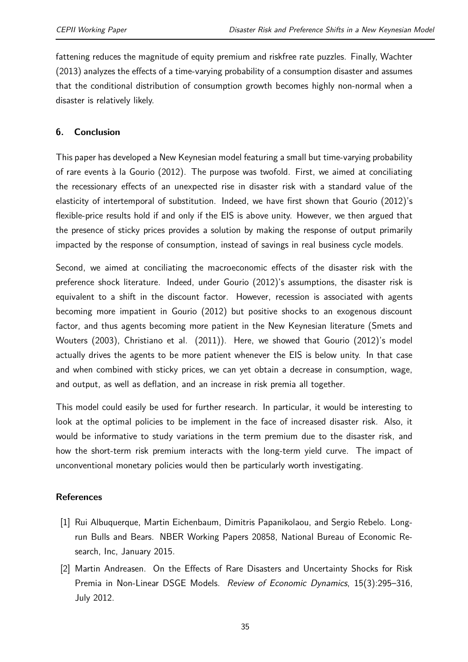fattening reduces the magnitude of equity premium and riskfree rate puzzles. Finally, Wachter (2013) analyzes the effects of a time-varying probability of a consumption disaster and assumes that the conditional distribution of consumption growth becomes highly non-normal when a disaster is relatively likely.

#### **6. Conclusion**

This paper has developed a New Keynesian model featuring a small but time-varying probability of rare events à la Gourio (2012). The purpose was twofold. First, we aimed at conciliating the recessionary effects of an unexpected rise in disaster risk with a standard value of the elasticity of intertemporal of substitution. Indeed, we have first shown that Gourio (2012)'s flexible-price results hold if and only if the EIS is above unity. However, we then argued that the presence of sticky prices provides a solution by making the response of output primarily impacted by the response of consumption, instead of savings in real business cycle models.

Second, we aimed at conciliating the macroeconomic effects of the disaster risk with the preference shock literature. Indeed, under Gourio (2012)'s assumptions, the disaster risk is equivalent to a shift in the discount factor. However, recession is associated with agents becoming more impatient in Gourio (2012) but positive shocks to an exogenous discount factor, and thus agents becoming more patient in the New Keynesian literature (Smets and Wouters (2003), Christiano et al. (2011)). Here, we showed that Gourio (2012)'s model actually drives the agents to be more patient whenever the EIS is below unity. In that case and when combined with sticky prices, we can yet obtain a decrease in consumption, wage, and output, as well as deflation, and an increase in risk premia all together.

This model could easily be used for further research. In particular, it would be interesting to look at the optimal policies to be implement in the face of increased disaster risk. Also, it would be informative to study variations in the term premium due to the disaster risk, and how the short-term risk premium interacts with the long-term yield curve. The impact of unconventional monetary policies would then be particularly worth investigating.

#### **References**

- [1] Rui Albuquerque, Martin Eichenbaum, Dimitris Papanikolaou, and Sergio Rebelo. Longrun Bulls and Bears. NBER Working Papers 20858, National Bureau of Economic Research, Inc, January 2015.
- [2] Martin Andreasen. On the Effects of Rare Disasters and Uncertainty Shocks for Risk Premia in Non-Linear DSGE Models. *Review of Economic Dynamics*, 15(3):295–316, July 2012.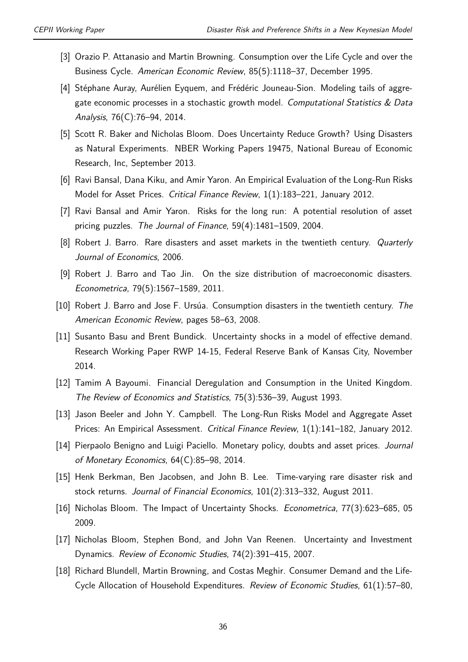- [3] Orazio P. Attanasio and Martin Browning. Consumption over the Life Cycle and over the Business Cycle. *American Economic Review*, 85(5):1118–37, December 1995.
- [4] Stéphane Auray, Aurélien Eyquem, and Frédéric Jouneau-Sion. Modeling tails of aggregate economic processes in a stochastic growth model. *Computational Statistics & Data Analysis*, 76(C):76–94, 2014.
- [5] Scott R. Baker and Nicholas Bloom. Does Uncertainty Reduce Growth? Using Disasters as Natural Experiments. NBER Working Papers 19475, National Bureau of Economic Research, Inc, September 2013.
- [6] Ravi Bansal, Dana Kiku, and Amir Yaron. An Empirical Evaluation of the Long-Run Risks Model for Asset Prices. *Critical Finance Review*, 1(1):183–221, January 2012.
- [7] Ravi Bansal and Amir Yaron. Risks for the long run: A potential resolution of asset pricing puzzles. *The Journal of Finance*, 59(4):1481–1509, 2004.
- [8] Robert J. Barro. Rare disasters and asset markets in the twentieth century. *Quarterly Journal of Economics*, 2006.
- [9] Robert J. Barro and Tao Jin. On the size distribution of macroeconomic disasters. *Econometrica*, 79(5):1567–1589, 2011.
- [10] Robert J. Barro and Jose F. Ursúa. Consumption disasters in the twentieth century. *The American Economic Review*, pages 58–63, 2008.
- [11] Susanto Basu and Brent Bundick. Uncertainty shocks in a model of effective demand. Research Working Paper RWP 14-15, Federal Reserve Bank of Kansas City, November 2014.
- [12] Tamim A Bayoumi. Financial Deregulation and Consumption in the United Kingdom. *The Review of Economics and Statistics*, 75(3):536–39, August 1993.
- [13] Jason Beeler and John Y. Campbell. The Long-Run Risks Model and Aggregate Asset Prices: An Empirical Assessment. *Critical Finance Review*, 1(1):141–182, January 2012.
- [14] Pierpaolo Benigno and Luigi Paciello. Monetary policy, doubts and asset prices. *Journal of Monetary Economics*, 64(C):85–98, 2014.
- [15] Henk Berkman, Ben Jacobsen, and John B. Lee. Time-varying rare disaster risk and stock returns. *Journal of Financial Economics*, 101(2):313–332, August 2011.
- [16] Nicholas Bloom. The Impact of Uncertainty Shocks. *Econometrica*, 77(3):623–685, 05 2009.
- [17] Nicholas Bloom, Stephen Bond, and John Van Reenen. Uncertainty and Investment Dynamics. *Review of Economic Studies*, 74(2):391–415, 2007.
- [18] Richard Blundell, Martin Browning, and Costas Meghir. Consumer Demand and the Life-Cycle Allocation of Household Expenditures. *Review of Economic Studies*, 61(1):57–80,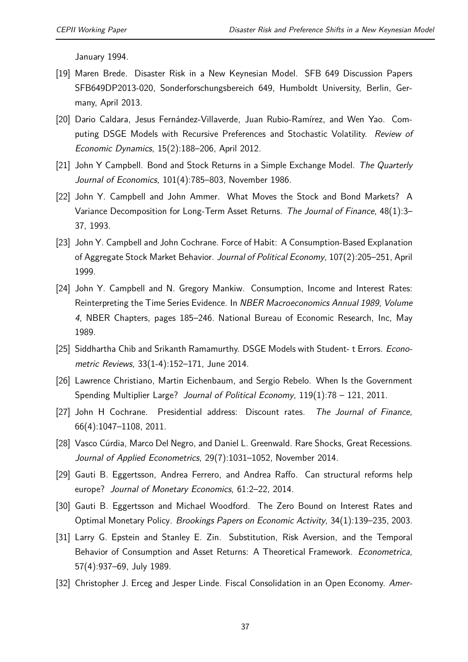January 1994.

- [19] Maren Brede. Disaster Risk in a New Keynesian Model. SFB 649 Discussion Papers SFB649DP2013-020, Sonderforschungsbereich 649, Humboldt University, Berlin, Germany, April 2013.
- [20] Dario Caldara, Jesus Fernández-Villaverde, Juan Rubio-Ramírez, and Wen Yao. Computing DSGE Models with Recursive Preferences and Stochastic Volatility. *Review of Economic Dynamics*, 15(2):188–206, April 2012.
- [21] John Y Campbell. Bond and Stock Returns in a Simple Exchange Model. *The Quarterly Journal of Economics*, 101(4):785–803, November 1986.
- [22] John Y. Campbell and John Ammer. What Moves the Stock and Bond Markets? A Variance Decomposition for Long-Term Asset Returns. *The Journal of Finance*, 48(1):3– 37, 1993.
- [23] John Y. Campbell and John Cochrane. Force of Habit: A Consumption-Based Explanation of Aggregate Stock Market Behavior. *Journal of Political Economy*, 107(2):205–251, April 1999.
- [24] John Y. Campbell and N. Gregory Mankiw. Consumption, Income and Interest Rates: Reinterpreting the Time Series Evidence. In *NBER Macroeconomics Annual 1989, Volume 4*, NBER Chapters, pages 185–246. National Bureau of Economic Research, Inc, May 1989.
- [25] Siddhartha Chib and Srikanth Ramamurthy. DSGE Models with Student- t Errors. *Econometric Reviews*, 33(1-4):152–171, June 2014.
- [26] Lawrence Christiano, Martin Eichenbaum, and Sergio Rebelo. When Is the Government Spending Multiplier Large? *Journal of Political Economy*, 119(1):78 – 121, 2011.
- [27] John H Cochrane. Presidential address: Discount rates. *The Journal of Finance*, 66(4):1047–1108, 2011.
- [28] Vasco Cúrdia, Marco Del Negro, and Daniel L. Greenwald. Rare Shocks, Great Recessions. *Journal of Applied Econometrics*, 29(7):1031–1052, November 2014.
- [29] Gauti B. Eggertsson, Andrea Ferrero, and Andrea Raffo. Can structural reforms help europe? *Journal of Monetary Economics*, 61:2–22, 2014.
- [30] Gauti B. Eggertsson and Michael Woodford. The Zero Bound on Interest Rates and Optimal Monetary Policy. *Brookings Papers on Economic Activity*, 34(1):139–235, 2003.
- [31] Larry G. Epstein and Stanley E. Zin. Substitution, Risk Aversion, and the Temporal Behavior of Consumption and Asset Returns: A Theoretical Framework. *Econometrica*, 57(4):937–69, July 1989.
- [32] Christopher J. Erceg and Jesper Linde. Fiscal Consolidation in an Open Economy. *Amer-*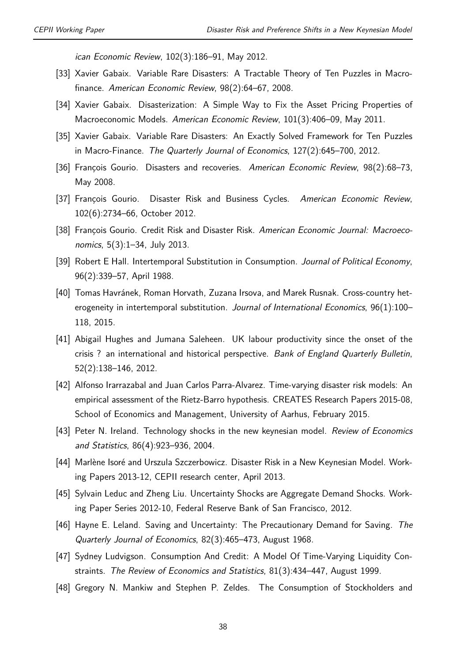*ican Economic Review*, 102(3):186–91, May 2012.

- [33] Xavier Gabaix. Variable Rare Disasters: A Tractable Theory of Ten Puzzles in Macrofinance. *American Economic Review*, 98(2):64–67, 2008.
- [34] Xavier Gabaix. Disasterization: A Simple Way to Fix the Asset Pricing Properties of Macroeconomic Models. *American Economic Review*, 101(3):406–09, May 2011.
- [35] Xavier Gabaix. Variable Rare Disasters: An Exactly Solved Framework for Ten Puzzles in Macro-Finance. *The Quarterly Journal of Economics*, 127(2):645–700, 2012.
- [36] François Gourio. Disasters and recoveries. *American Economic Review*, 98(2):68–73, May 2008.
- [37] François Gourio. Disaster Risk and Business Cycles. *American Economic Review*, 102(6):2734–66, October 2012.
- [38] François Gourio. Credit Risk and Disaster Risk. *American Economic Journal: Macroeconomics*, 5(3):1–34, July 2013.
- [39] Robert E Hall. Intertemporal Substitution in Consumption. *Journal of Political Economy*, 96(2):339–57, April 1988.
- [40] Tomas Havránek, Roman Horvath, Zuzana Irsova, and Marek Rusnak. Cross-country heterogeneity in intertemporal substitution. *Journal of International Economics*, 96(1):100– 118, 2015.
- [41] Abigail Hughes and Jumana Saleheen. UK labour productivity since the onset of the crisis ? an international and historical perspective. *Bank of England Quarterly Bulletin*, 52(2):138–146, 2012.
- [42] Alfonso Irarrazabal and Juan Carlos Parra-Alvarez. Time-varying disaster risk models: An empirical assessment of the Rietz-Barro hypothesis. CREATES Research Papers 2015-08, School of Economics and Management, University of Aarhus, February 2015.
- [43] Peter N. Ireland. Technology shocks in the new keynesian model. *Review of Economics and Statistics*, 86(4):923–936, 2004.
- [44] Marlène Isoré and Urszula Szczerbowicz. Disaster Risk in a New Keynesian Model. Working Papers 2013-12, CEPII research center, April 2013.
- [45] Sylvain Leduc and Zheng Liu. Uncertainty Shocks are Aggregate Demand Shocks. Working Paper Series 2012-10, Federal Reserve Bank of San Francisco, 2012.
- [46] Hayne E. Leland. Saving and Uncertainty: The Precautionary Demand for Saving. *The Quarterly Journal of Economics*, 82(3):465–473, August 1968.
- [47] Sydney Ludvigson. Consumption And Credit: A Model Of Time-Varying Liquidity Constraints. *The Review of Economics and Statistics*, 81(3):434–447, August 1999.
- [48] Gregory N. Mankiw and Stephen P. Zeldes. The Consumption of Stockholders and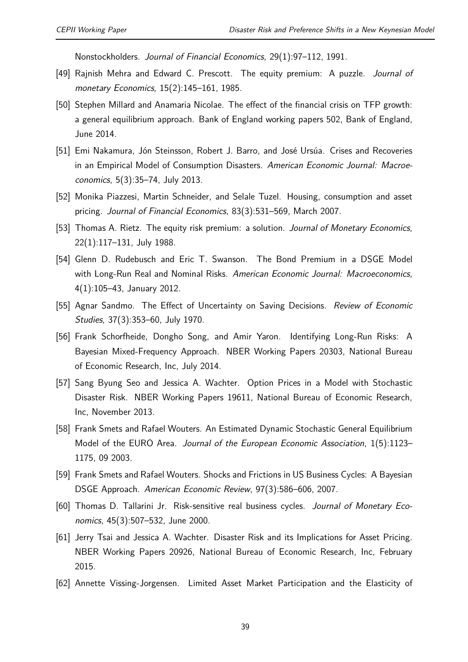Nonstockholders. *Journal of Financial Economics*, 29(1):97–112, 1991.

- [49] Rajnish Mehra and Edward C. Prescott. The equity premium: A puzzle. *Journal of monetary Economics*, 15(2):145–161, 1985.
- [50] Stephen Millard and Anamaria Nicolae. The effect of the financial crisis on TFP growth: a general equilibrium approach. Bank of England working papers 502, Bank of England, June 2014.
- [51] Emi Nakamura, Jón Steinsson, Robert J. Barro, and José Ursúa. Crises and Recoveries in an Empirical Model of Consumption Disasters. *American Economic Journal: Macroeconomics*, 5(3):35–74, July 2013.
- [52] Monika Piazzesi, Martin Schneider, and Selale Tuzel. Housing, consumption and asset pricing. *Journal of Financial Economics*, 83(3):531–569, March 2007.
- [53] Thomas A. Rietz. The equity risk premium: a solution. *Journal of Monetary Economics*, 22(1):117–131, July 1988.
- [54] Glenn D. Rudebusch and Eric T. Swanson. The Bond Premium in a DSGE Model with Long-Run Real and Nominal Risks. *American Economic Journal: Macroeconomics*, 4(1):105–43, January 2012.
- [55] Agnar Sandmo. The Effect of Uncertainty on Saving Decisions. *Review of Economic Studies*, 37(3):353–60, July 1970.
- [56] Frank Schorfheide, Dongho Song, and Amir Yaron. Identifying Long-Run Risks: A Bayesian Mixed-Frequency Approach. NBER Working Papers 20303, National Bureau of Economic Research, Inc, July 2014.
- [57] Sang Byung Seo and Jessica A. Wachter. Option Prices in a Model with Stochastic Disaster Risk. NBER Working Papers 19611, National Bureau of Economic Research, Inc, November 2013.
- [58] Frank Smets and Rafael Wouters. An Estimated Dynamic Stochastic General Equilibrium Model of the EURO Area. *Journal of the European Economic Association*, 1(5):1123– 1175, 09 2003.
- [59] Frank Smets and Rafael Wouters. Shocks and Frictions in US Business Cycles: A Bayesian DSGE Approach. *American Economic Review*, 97(3):586–606, 2007.
- [60] Thomas D. Tallarini Jr. Risk-sensitive real business cycles. *Journal of Monetary Economics*, 45(3):507–532, June 2000.
- [61] Jerry Tsai and Jessica A. Wachter. Disaster Risk and its Implications for Asset Pricing. NBER Working Papers 20926, National Bureau of Economic Research, Inc, February 2015.
- [62] Annette Vissing-Jorgensen. Limited Asset Market Participation and the Elasticity of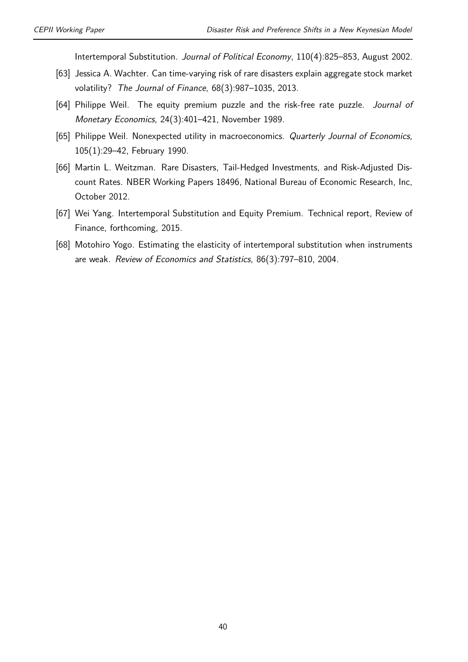Intertemporal Substitution. *Journal of Political Economy*, 110(4):825–853, August 2002.

- [63] Jessica A. Wachter. Can time-varying risk of rare disasters explain aggregate stock market volatility? *The Journal of Finance*, 68(3):987–1035, 2013.
- [64] Philippe Weil. The equity premium puzzle and the risk-free rate puzzle. *Journal of Monetary Economics*, 24(3):401–421, November 1989.
- [65] Philippe Weil. Nonexpected utility in macroeconomics. *Quarterly Journal of Economics*, 105(1):29–42, February 1990.
- [66] Martin L. Weitzman. Rare Disasters, Tail-Hedged Investments, and Risk-Adjusted Discount Rates. NBER Working Papers 18496, National Bureau of Economic Research, Inc, October 2012.
- [67] Wei Yang. Intertemporal Substitution and Equity Premium. Technical report, Review of Finance, forthcoming, 2015.
- [68] Motohiro Yogo. Estimating the elasticity of intertemporal substitution when instruments are weak. *Review of Economics and Statistics*, 86(3):797–810, 2004.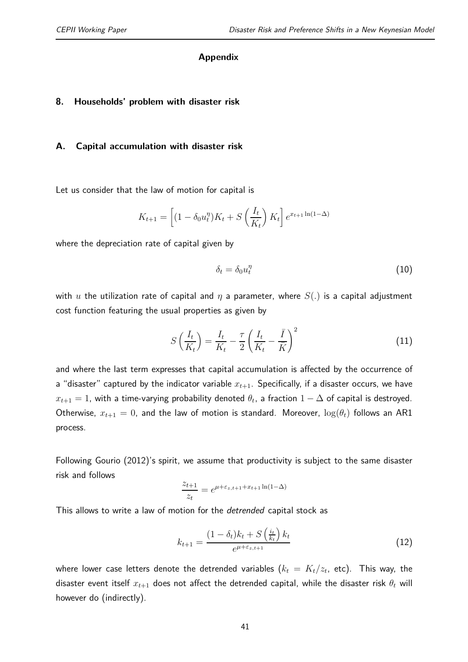#### **Appendix**

#### **8. Households' problem with disaster risk**

#### **A. Capital accumulation with disaster risk**

Let us consider that the law of motion for capital is

$$
K_{t+1} = \left[ (1 - \delta_0 u_t^{\eta}) K_t + S\left(\frac{I_t}{K_t}\right) K_t \right] e^{x_{t+1} \ln(1-\Delta)}
$$

where the depreciation rate of capital given by

$$
\delta_t = \delta_0 u_t^{\eta} \tag{10}
$$

with *u* the utilization rate of capital and *η* a parameter, where *S*(*.*) is a capital adjustment cost function featuring the usual properties as given by

$$
S\left(\frac{I_t}{K_t}\right) = \frac{I_t}{K_t} - \frac{\tau}{2} \left(\frac{I_t}{K_t} - \frac{\bar{I}}{\bar{K}}\right)^2
$$
\n(11)

and where the last term expresses that capital accumulation is affected by the occurrence of a "disaster" captured by the indicator variable *xt*+1. Specifically, if a disaster occurs, we have  $x_{t+1} = 1$ , with a time-varying probability denoted  $\theta_t$ , a fraction  $1 - \Delta$  of capital is destroyed. Otherwise,  $x_{t+1} = 0$ , and the law of motion is standard. Moreover,  $\log(\theta_t)$  follows an AR1 process.

Following Gourio (2012)'s spirit, we assume that productivity is subject to the same disaster risk and follows

$$
\frac{z_{t+1}}{z_t} = e^{\mu + \varepsilon_{z,t+1} + x_{t+1} \ln(1-\Delta)}
$$

This allows to write a law of motion for the *detrended* capital stock as

$$
k_{t+1} = \frac{(1 - \delta_t)k_t + S\left(\frac{i_t}{k_t}\right)k_t}{e^{\mu + \varepsilon_{z,t+1}}}
$$
(12)

where lower case letters denote the detrended variables  $(k_t\,=\,K_t/z_t$ , etc). This way, the disaster event itself  $x_{t+1}$  does not affect the detrended capital, while the disaster risk  $\theta_t$  will however do (indirectly).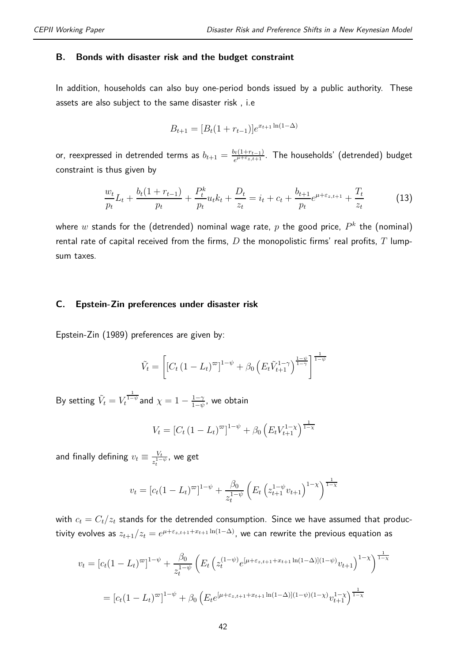#### **B. Bonds with disaster risk and the budget constraint**

In addition, households can also buy one-period bonds issued by a public authority. These assets are also subject to the same disaster risk , i.e

$$
B_{t+1} = [B_t(1 + r_{t-1})]e^{x_{t+1}\ln(1 - \Delta)}
$$

or, reexpressed in detrended terms as  $b_{t+1} = \frac{b_t(1+r_{t-1})}{e^{\mu+\varepsilon}z_{t+1}}$  $e^{\mu + \epsilon_{z,t+1}}$ . The households' (detrended) budget constraint is thus given by

$$
\frac{w_t}{p_t}L_t + \frac{b_t(1+r_{t-1})}{p_t} + \frac{P_t^k}{p_t}u_t k_t + \frac{D_t}{z_t} = i_t + c_t + \frac{b_{t+1}}{p_t}e^{\mu + \varepsilon_{z,t+1}} + \frac{T_t}{z_t}
$$
(13)

where  $w$  stands for the (detrended) nominal wage rate,  $p$  the good price,  $P^k$  the (nominal) rental rate of capital received from the firms, *D* the monopolistic firms' real profits, *T* lumpsum taxes.

#### **C. Epstein-Zin preferences under disaster risk**

Epstein-Zin (1989) preferences are given by:

$$
\tilde{V}_t = \left[ \left[ C_t \left( 1 - L_t \right)^{\varpi} \right]^{1-\psi} + \beta_0 \left( E_t \tilde{V}_{t+1}^{1-\gamma} \right)^{\frac{1-\psi}{1-\gamma}} \right]^{\frac{1}{1-\psi}}
$$

 $\textsf{By setting} \,\, \tilde{V}_t = V_t^{\frac{1}{1-\psi}}$  and  $\chi = 1 - \frac{1-\gamma}{1-\psi}$  $\frac{1-\gamma}{1-\psi}$ , we obtain

$$
V_t = [C_t (1 - L_t)^{\varpi}]^{1 - \psi} + \beta_0 \left( E_t V_{t+1}^{1 - \chi} \right)^{\frac{1}{1 - \chi}}
$$

and finally defining  $v_t \equiv \frac{V_t}{z^{1-t}}$  $\frac{V_t}{z_t^{1-\psi}}$ , we get

$$
v_t = [c_t(1 - L_t)^{\varpi}]^{1 - \psi} + \frac{\beta_0}{z_t^{1 - \psi}} \left( E_t \left( z_{t+1}^{1 - \psi} v_{t+1} \right)^{1 - \chi} \right)^{\frac{1}{1 - \chi}}
$$

with  $c_t = C_t/z_t$  stands for the detrended consumption. Since we have assumed that productivity evolves as  $z_{t+1}/z_t = e^{\mu + \varepsilon_{z,t+1} + x_{t+1}\ln(1-\Delta)},$  we can rewrite the previous equation as

$$
v_t = [c_t(1 - L_t)^{\varpi}]^{1 - \psi} + \frac{\beta_0}{z_t^{1 - \psi}} \left( E_t \left( z_t^{(1 - \psi)} e^{[\mu + \varepsilon_{z, t+1} + x_{t+1} \ln(1 - \Delta)](1 - \psi)} v_{t+1} \right)^{1 - \chi} \right)^{\frac{1}{1 - \chi}}
$$
  
= 
$$
[c_t(1 - L_t)^{\varpi}]^{1 - \psi} + \beta_0 \left( E_t e^{[\mu + \varepsilon_{z, t+1} + x_{t+1} \ln(1 - \Delta)](1 - \psi)(1 - \chi)} v_{t+1}^{1 - \chi} \right)^{\frac{1}{1 - \chi}}
$$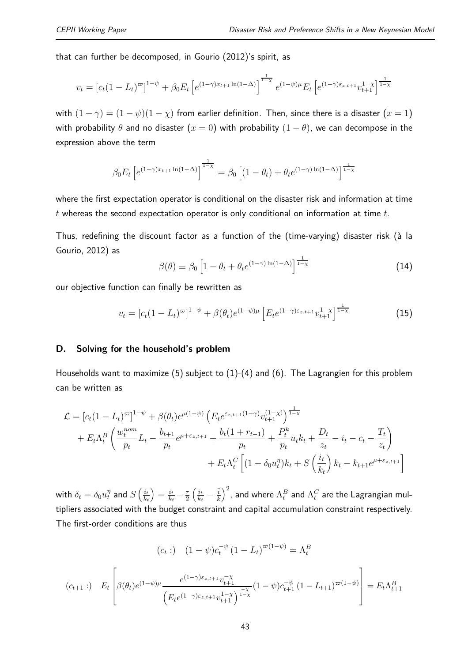that can further be decomposed, in Gourio (2012)'s spirit, as

$$
v_t = [c_t(1-L_t)^{\varpi}]^{1-\psi} + \beta_0 E_t \left[ e^{(1-\gamma)x_{t+1}\ln(1-\Delta)} \right]^{1-\chi} e^{(1-\psi)\mu} E_t \left[ e^{(1-\gamma)\varepsilon_{z,t+1}} v_{t+1}^{1-\chi} \right]^{1-\chi}
$$

with  $(1 - \gamma) = (1 - \psi)(1 - \chi)$  from earlier definition. Then, since there is a disaster  $(x = 1)$ with probability  $\theta$  and no disaster  $(x = 0)$  with probability  $(1 - \theta)$ , we can decompose in the expression above the term

$$
\beta_0 E_t \left[ e^{(1-\gamma)x_{t+1} \ln(1-\Delta)} \right]^{\frac{1}{1-\chi}} = \beta_0 \left[ (1-\theta_t) + \theta_t e^{(1-\gamma)\ln(1-\Delta)} \right]^{\frac{1}{1-\chi}}
$$

where the first expectation operator is conditional on the disaster risk and information at time *t* whereas the second expectation operator is only conditional on information at time *t*.

Thus, redefining the discount factor as a function of the (time-varying) disaster risk (à la Gourio, 2012) as

$$
\beta(\theta) \equiv \beta_0 \left[ 1 - \theta_t + \theta_t e^{(1-\gamma)\ln(1-\Delta)} \right]^{\frac{1}{1-\chi}} \tag{14}
$$

our objective function can finally be rewritten as

$$
v_t = [c_t(1 - L_t)^{\infty}]^{1 - \psi} + \beta(\theta_t)e^{(1 - \psi)\mu} \left[E_t e^{(1 - \gamma)\varepsilon_{z,t+1}} v_{t+1}^{1 - \chi}\right]^{\frac{1}{1 - \chi}} \tag{15}
$$

#### **D. Solving for the household's problem**

Households want to maximize (5) subject to (1)-(4) and (6). The Lagrangien for this problem can be written as

$$
\mathcal{L} = [c_t(1 - L_t)^{\infty}]^{1 - \psi} + \beta(\theta_t)e^{\mu(1 - \psi)} \left( E_t e^{\varepsilon_{z,t+1}(1 - \gamma)} v_{t+1}^{(1 - \chi)} \right)^{\frac{1}{1 - \chi}} \n+ E_t \Lambda_t^B \left( \frac{w_t^{nom}}{p_t} L_t - \frac{b_{t+1}}{p_t} e^{\mu + \varepsilon_{z,t+1}} + \frac{b_t(1 + r_{t-1})}{p_t} + \frac{P_t^k}{p_t} u_t k_t + \frac{D_t}{z_t} - i_t - c_t - \frac{T_t}{z_t} \right) \n+ E_t \Lambda_t^C \left[ (1 - \delta_0 u_t^{\eta}) k_t + S \left( \frac{i_t}{k_t} \right) k_t - k_{t+1} e^{\mu + \varepsilon_{z,t+1}} \right]
$$

with  $\delta_t = \delta_0 u_t^{\eta}$  and  $S\left(\frac{i_t}{k_t}\right)$ *kt*  $=$  $\frac{i_{t}}{k_{t}}$  $\frac{i_t}{k_t} - \frac{\tau}{2}$ 2  $\int$ *i*<sup>*t*</sup>  $\frac{i_t}{k_t} - \frac{\bar{i}}{\bar{k}}$  $\bar{k}$  $\int^2$ , and where  $\Lambda^B_t$  and  $\Lambda^C_t$  are the Lagrangian multipliers associated with the budget constraint and capital accumulation constraint respectively. The first-order conditions are thus

$$
(c_t:) \quad (1 - \psi)c_t^{-\psi} (1 - L_t)^{\varpi(1 - \psi)} = \Lambda_t^B
$$
\n
$$
(c_{t+1}:) \quad E_t \left[ \beta(\theta_t)e^{(1 - \psi)\mu} \frac{e^{(1 - \gamma)\varepsilon_{z,t+1}}v_{t+1}^{-\chi}}{\left(E_t e^{(1 - \gamma)\varepsilon_{z,t+1}}v_{t+1}^{1 - \chi}\right)^{\frac{-\chi}{1 - \chi}}} (1 - \psi)c_{t+1}^{-\psi} (1 - L_{t+1})^{\varpi(1 - \psi)} \right] = E_t \Lambda_{t+1}^B
$$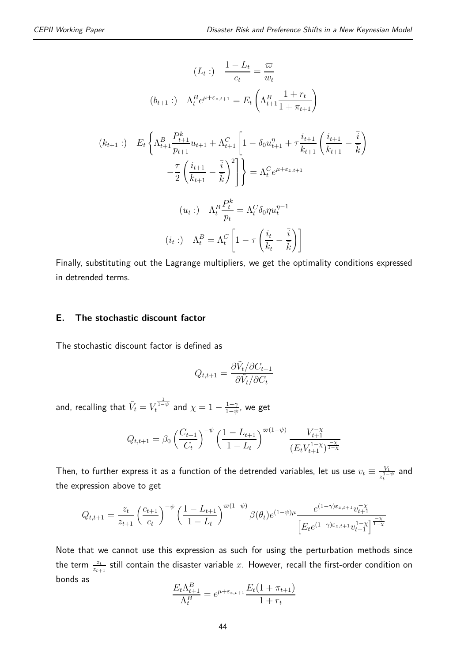$$
(L_t:)\quad \frac{1 - L_t}{c_t} = \frac{\varpi}{w_t}
$$
\n
$$
(b_{t+1}:)\quad \Lambda_t^B e^{\mu + \varepsilon_{z,t+1}} = E_t \left( \Lambda_{t+1}^B \frac{1 + r_t}{1 + \pi_{t+1}} \right)
$$
\n
$$
(k_{t+1}:)\quad E_t \left\{ \Lambda_{t+1}^B \frac{P_{t+1}^k}{p_{t+1}} u_{t+1} + \Lambda_{t+1}^C \left[ 1 - \delta_0 u_{t+1}^{\eta} + \tau \frac{i_{t+1}}{k_{t+1}} \left( \frac{i_{t+1}}{k_{t+1}} - \frac{\overline{i}}{k} \right) \right] - \frac{\tau}{2} \left( \frac{i_{t+1}}{k_{t+1}} - \frac{\overline{i}}{k} \right)^2 \right\} = \Lambda_t^C e^{\mu + \varepsilon_{z,t+1}}
$$
\n
$$
(u_t:)\quad \Lambda_t^B \frac{P_t^k}{p_t} = \Lambda_t^C \delta_0 \eta u_t^{\eta - 1}
$$
\n
$$
(i_t:)\quad \Lambda_t^B = \Lambda_t^C \left[ 1 - \tau \left( \frac{i_t}{k_t} - \frac{\overline{i}}{k} \right) \right]
$$

Finally, substituting out the Lagrange multipliers, we get the optimality conditions expressed in detrended terms.

#### **E. The stochastic discount factor**

The stochastic discount factor is defined as

$$
Q_{t,t+1} = \frac{\partial \tilde{V}_t / \partial C_{t+1}}{\partial \tilde{V}_t / \partial C_t}
$$

and, recalling that  $\tilde{V}_t = V_t^{\frac{1}{1-\psi}}$  and  $\chi = 1 - \frac{1-\gamma}{1-\psi}$  $\frac{1-\gamma}{1-\psi},$  we get

$$
Q_{t,t+1} = \beta_0 \left(\frac{C_{t+1}}{C_t}\right)^{-\psi} \left(\frac{1 - L_{t+1}}{1 - L_t}\right)^{\varpi(1 - \psi)} \frac{V_{t+1}^{-\chi}}{(E_t V_{t+1}^{1 - \chi})^{\frac{-\chi}{1 - \chi}}}
$$

Then, to further express it as a function of the detrended variables, let us use  $v_t \equiv \frac{V_t}{z^{1-t}}$  $\frac{V_t}{z_t^{1-\psi}}$  and the expression above to get

$$
Q_{t,t+1} = \frac{z_t}{z_{t+1}} \left(\frac{c_{t+1}}{c_t}\right)^{-\psi} \left(\frac{1 - L_{t+1}}{1 - L_t}\right)^{\varpi(1 - \psi)} \beta(\theta_t) e^{(1 - \psi)\mu} \frac{e^{(1 - \gamma)\varepsilon_{z,t+1}} v_{t+1}^{-\chi}}{\left[E_t e^{(1 - \gamma)\varepsilon_{z,t+1}} v_{t+1}^{1 - \chi}\right]^{\frac{-\chi}{1 - \chi}}}
$$

Note that we cannot use this expression as such for using the perturbation methods since the term  $\frac{z_t}{z_{t+1}}$  still contain the disaster variable  $x$ . However, recall the first-order condition on bonds as

$$
\frac{E_t \Lambda_{t+1}^B}{\Lambda_t^B} = e^{\mu + \varepsilon_{z,t+1}} \frac{E_t (1 + \pi_{t+1})}{1 + r_t}
$$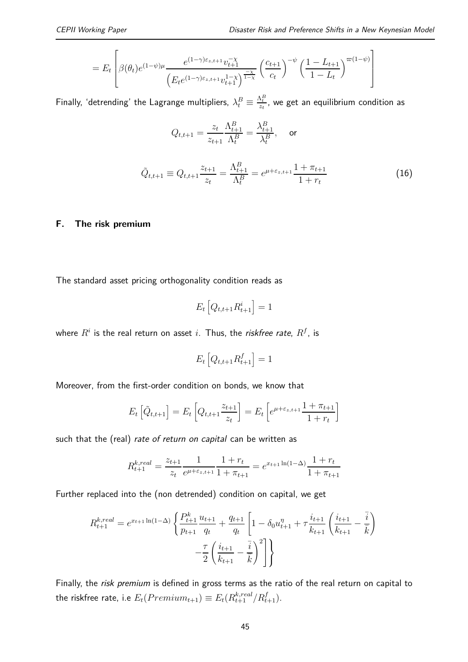$$
=E_t\left[\beta(\theta_t)e^{(1-\psi)\mu}\frac{e^{(1-\gamma)\varepsilon_{z,t+1}}v_{t+1}^{-\chi}}{\left(E_te^{(1-\gamma)\varepsilon_{z,t+1}}v_{t+1}^{1-\chi}\right)^{\frac{-\chi}{1-\chi}}}\left(\frac{c_{t+1}}{c_t}\right)^{-\psi}\left(\frac{1-L_{t+1}}{1-L_t}\right)^{\varpi(1-\psi)}\right]
$$

Finally, 'detrending' the Lagrange multipliers,  $\lambda^B_t \equiv \frac{\Lambda^B_t}{z_t}$ , we get an equilibrium condition as

$$
Q_{t,t+1} = \frac{z_t}{z_{t+1}} \frac{\Lambda_{t+1}^B}{\Lambda_t^B} = \frac{\lambda_{t+1}^B}{\lambda_t^B}, \quad \text{ or } \quad
$$

$$
\tilde{Q}_{t,t+1} \equiv Q_{t,t+1} \frac{z_{t+1}}{z_t} = \frac{\Lambda_{t+1}^B}{\Lambda_t^B} = e^{\mu + \varepsilon_{z,t+1}} \frac{1 + \pi_{t+1}}{1 + r_t}
$$
\n(16)

#### **F. The risk premium**

The standard asset pricing orthogonality condition reads as

$$
E_t\left[Q_{t,t+1}R_{t+1}^i\right] = 1
$$

where  $R^i$  is the real return on asset  $i.$  Thus, the *riskfree rate*,  $R^f$ , is

$$
E_t\left[Q_{t,t+1}R_{t+1}^f\right] = 1
$$

Moreover, from the first-order condition on bonds, we know that

$$
E_t\left[\tilde{Q}_{t,t+1}\right] = E_t\left[Q_{t,t+1}\frac{z_{t+1}}{z_t}\right] = E_t\left[e^{\mu + \varepsilon_{z,t+1}}\frac{1 + \pi_{t+1}}{1 + r_t}\right]
$$

such that the (real) *rate of return on capital* can be written as

$$
R_{t+1}^{k,real} = \frac{z_{t+1}}{z_t} \frac{1}{e^{\mu + \varepsilon_{z,t+1}}} \frac{1 + r_t}{1 + \pi_{t+1}} = e^{x_{t+1} \ln(1 - \Delta)} \frac{1 + r_t}{1 + \pi_{t+1}}
$$

Further replaced into the (non detrended) condition on capital, we get

$$
R_{t+1}^{k,real} = e^{x_{t+1}\ln(1-\Delta)} \left\{ \frac{P_{t+1}^k}{p_{t+1}} \frac{u_{t+1}}{q_t} + \frac{q_{t+1}}{q_t} \left[ 1 - \delta_0 u_{t+1}^{\eta} + \tau \frac{i_{t+1}}{k_{t+1}} \left( \frac{i_{t+1}}{k_{t+1}} - \frac{\overline{i}}{k} \right) \right] - \frac{\tau}{2} \left( \frac{i_{t+1}}{k_{t+1}} - \frac{\overline{i}}{k} \right)^2 \right\}
$$

Finally, the *risk premium* is defined in gross terms as the ratio of the real return on capital to the riskfree rate, i.e  $E_t(Premium_{t+1}) \equiv E_t(R_{t+1}^{k,real}/R_{t+1}^f).$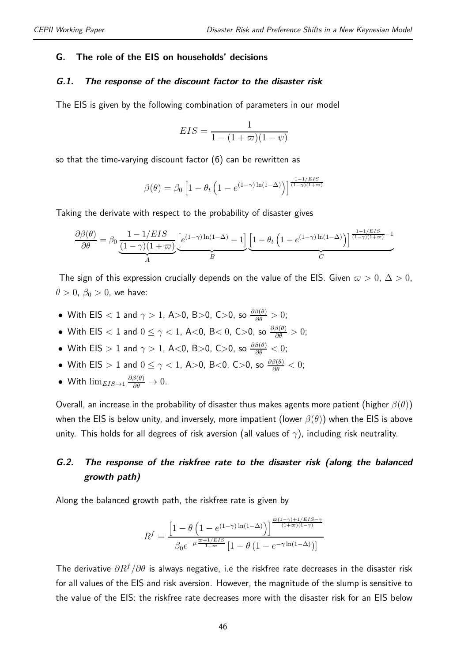#### **G. The role of the EIS on households' decisions**

#### **G.1. The response of the discount factor to the disaster risk**

The EIS is given by the following combination of parameters in our model

$$
EIS = \frac{1}{1 - (1 + \varpi)(1 - \psi)}
$$

so that the time-varying discount factor (6) can be rewritten as

$$
\beta(\theta) = \beta_0 \left[ 1 - \theta_t \left( 1 - e^{(1-\gamma)\ln(1-\Delta)} \right) \right]^{\frac{1-1/ELS}{(1-\gamma)(1+\varpi)}}
$$

Taking the derivate with respect to the probability of disaster gives

$$
\frac{\partial \beta(\theta)}{\partial \theta} = \beta_0 \underbrace{\frac{1-1/EIS}{(1-\gamma)(1+\varpi)}}_{A} \underbrace{\left[e^{(1-\gamma)\ln(1-\Delta)}-1\right]}_{B} \underbrace{\left[1-\theta_t\left(1-e^{(1-\gamma)\ln(1-\Delta)}\right)\right]^{\frac{1-1/EIS}{(1-\gamma)(1+\varpi)}-1}}_{C}
$$

The sign of this expression crucially depends on the value of the EIS. Given  $\varpi > 0$ ,  $\Delta > 0$ ,  $\theta > 0$ ,  $\beta_0 > 0$ , we have:

- With EIS *<* 1 and *γ >* 1, A*>*0, B*>*0, C*>*0, so *∂β*(*θ*) *∂θ >* 0;
- With EIS *<* 1 and 0 ≤ *γ <* 1, A*<*0, B*<* 0, C*>*0, so *∂β*(*θ*) *∂θ >* 0;
- $\bullet$  With EIS  $> 1$  and  $\gamma > 1$ , A<0, B>0, C>0, so  $\frac{\partial \beta(\theta)}{\partial \theta} < 0$ ;
- With EIS *>* 1 and 0 ≤ *γ <* 1, A*>*0, B*<*0, C*>*0, so *∂β*(*θ*) *∂θ <* 0;
- With  $\lim_{EIS \to 1} \frac{\partial \beta(\theta)}{\partial \theta} \to 0$ .

Overall, an increase in the probability of disaster thus makes agents more patient (higher *β*(*θ*)) when the EIS is below unity, and inversely, more impatient (lower *β*(*θ*)) when the EIS is above unity. This holds for all degrees of risk aversion (all values of *γ*), including risk neutrality.

#### **G.2. The response of the riskfree rate to the disaster risk (along the balanced growth path)**

Along the balanced growth path, the riskfree rate is given by

$$
R^f=\frac{\left[1-\theta\left(1-e^{\left(1-\gamma\right)\ln\left(1-\Delta\right)}\right)\right]^{\frac{\varpi\left(1-\gamma\right)+1/EIS-\gamma}{\left(1+\varpi\right)\left(1-\gamma\right)}}}{\beta_0e^{-\mu\frac{\varpi+1/EIS}{1+\varpi}}\left[1-\theta\left(1-e^{-\gamma\ln\left(1-\Delta\right)}\right)\right]}
$$

The derivative *∂R<sup>f</sup> /∂θ* is always negative, i.e the riskfree rate decreases in the disaster risk for all values of the EIS and risk aversion. However, the magnitude of the slump is sensitive to the value of the EIS: the riskfree rate decreases more with the disaster risk for an EIS below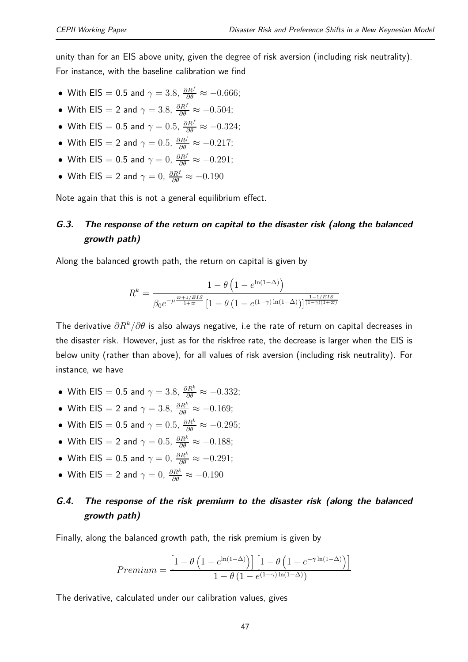unity than for an EIS above unity, given the degree of risk aversion (including risk neutrality).

For instance, with the baseline calibration we find

- With EIS  $= 0.5$  and  $\gamma = 3.8$ ,  $\frac{\partial R^f}{\partial \theta} \approx -0.666$ ;
- With EIS  $=$  2 and  $\gamma = 3.8$ ,  $\frac{\partial R^f}{\partial \theta} \approx -0.504$ ;
- With EIS  $= 0.5$  and  $\gamma = 0.5$ ,  $\frac{\partial R^f}{\partial \theta} \approx -0.324$ ;
- With EIS  $= 2$  and  $\gamma = 0.5$ ,  $\frac{\partial R^f}{\partial \theta} \approx -0.217$ ;
- With EIS  $= 0.5$  and  $\gamma = 0$ ,  $\frac{\partial R^f}{\partial \theta} \approx -0.291$ ;
- $\bullet$  With EIS  $=$  2 and  $\gamma = 0$ ,  $\frac{\partial R^f}{\partial \theta} \approx -0.190$

Note again that this is not a general equilibrium effect.

#### **G.3. The response of the return on capital to the disaster risk (along the balanced growth path)**

Along the balanced growth path, the return on capital is given by

$$
R^k=\frac{1-\theta\left(1-e^{\ln(1-\Delta)}\right)}{\beta_0 e^{-\mu\frac{\varpi+1/ EIS}{1+\varpi}}\left[1-\theta\left(1-e^{(1-\gamma)\ln(1-\Delta)}\right)\right]^{\frac{1-1/ EIS}{(1-\gamma)(1+\varpi)}}}
$$

The derivative *∂R<sup>k</sup>/∂θ* is also always negative, i.e the rate of return on capital decreases in the disaster risk. However, just as for the riskfree rate, the decrease is larger when the EIS is below unity (rather than above), for all values of risk aversion (including risk neutrality). For instance, we have

- With EIS  $= 0.5$  and  $\gamma = 3.8$ ,  $\frac{\partial R^k}{\partial \theta} \approx -0.332$ ;
- With EIS  $=$  2 and  $\gamma = 3.8$ ,  $\frac{\partial R^k}{\partial \theta} \approx -0.169$ ;
- With EIS  $= 0.5$  and  $\gamma = 0.5$ ,  $\frac{\partial R^k}{\partial \theta} \approx -0.295$ ;
- With EIS  $= 2$  and  $\gamma = 0.5$ ,  $\frac{\partial R^k}{\partial \theta} \approx -0.188$ ;
- With EIS  $= 0.5$  and  $\gamma = 0$ ,  $\frac{\partial R^k}{\partial \theta} \approx -0.291$ ;
- $\bullet$  With EIS  $=$  2 and  $\gamma = 0$ ,  $\frac{\partial R^k}{\partial \theta} \approx -0.190$

#### **G.4. The response of the risk premium to the disaster risk (along the balanced growth path)**

Finally, along the balanced growth path, the risk premium is given by

$$
Premium = \frac{\left[1 - \theta \left(1 - e^{\ln(1-\Delta)}\right)\right] \left[1 - \theta \left(1 - e^{-\gamma \ln(1-\Delta)}\right)\right]}{1 - \theta \left(1 - e^{(1-\gamma)\ln(1-\Delta)}\right)}
$$

The derivative, calculated under our calibration values, gives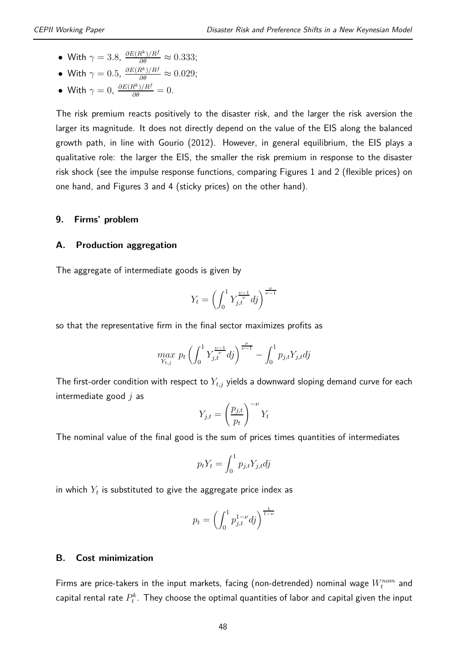• With  $\gamma = 3.8$ ,  $\frac{\partial E(R^k)/R^f}{\partial \theta} \approx 0.333$ ;

• With 
$$
\gamma = 0.5
$$
,  $\frac{\partial E(R^k)/R^f}{\partial \theta} \approx 0.029$ ;

• With  $\gamma = 0$ ,  $\frac{\partial E(R^k)/R^f}{\partial \theta} = 0$ .

The risk premium reacts positively to the disaster risk, and the larger the risk aversion the larger its magnitude. It does not directly depend on the value of the EIS along the balanced growth path, in line with Gourio (2012). However, in general equilibrium, the EIS plays a qualitative role: the larger the EIS, the smaller the risk premium in response to the disaster risk shock (see the impulse response functions, comparing Figures 1 and 2 (flexible prices) on one hand, and Figures 3 and 4 (sticky prices) on the other hand).

#### **9. Firms' problem**

#### **A. Production aggregation**

The aggregate of intermediate goods is given by

$$
Y_t = \left(\int_0^1 Y_{j,t}^{\frac{\nu-1}{\nu}} df\right)^{\frac{\nu}{\nu-1}}
$$

so that the representative firm in the final sector maximizes profits as

$$
\max_{Y_{t,j}} p_t \left( \int_0^1 Y_{j,t}^{\frac{\nu-1}{\nu}} df \right)^{\frac{\nu}{\nu-1}} - \int_0^1 p_{j,t} Y_{j,t} df
$$

The first-order condition with respect to  $Y_{t,j}$  yields a downward sloping demand curve for each intermediate good *j* as

$$
Y_{j,t} = \left(\frac{p_{j,t}}{p_t}\right)^{-\nu} Y_t
$$

The nominal value of the final good is the sum of prices times quantities of intermediates

$$
p_t Y_t = \int_0^1 p_{j,t} Y_{j,t} dj
$$

in which  $Y_t$  is substituted to give the aggregate price index as

$$
p_t = \left(\int_0^1 p_{j,t}^{1-\nu} dj\right)^{\frac{1}{1-\nu}}
$$

#### **B. Cost minimization**

Firms are price-takers in the input markets, facing (non-detrended) nominal wage  $W_t^{nom}$  and capital rental rate  $P_t^k$ . They choose the optimal quantities of labor and capital given the input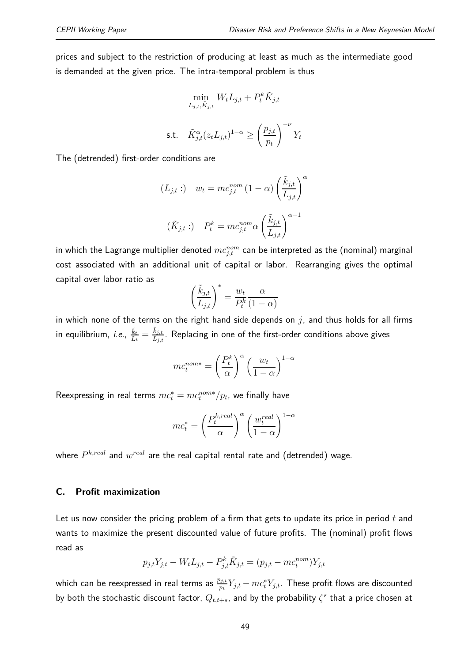prices and subject to the restriction of producing at least as much as the intermediate good is demanded at the given price. The intra-temporal problem is thus

$$
\min_{L_{j,t}, \tilde{K}_{j,t}} W_t L_{j,t} + P_t^k \tilde{K}_{j,t}
$$
\ns.t. 
$$
\tilde{K}_{j,t}^{\alpha} (z_t L_{j,t})^{1-\alpha} \ge \left(\frac{p_{j,t}}{p_t}\right)^{-\nu} Y_t
$$

The (detrended) first-order conditions are

$$
(L_{j,t}:) \t w_t = mc_{j,t}^{nom} (1 - \alpha) \left(\frac{\tilde{k}_{j,t}}{L_{j,t}}\right)^{\alpha}
$$

$$
(\tilde{K}_{j,t}:) \t P_t^k = mc_{j,t}^{nom} \alpha \left(\frac{\tilde{k}_{j,t}}{L_{j,t}}\right)^{\alpha - 1}
$$

in which the Lagrange multiplier denoted  $mc_{j,t}^{nom}$  can be interpreted as the (nominal) marginal cost associated with an additional unit of capital or labor. Rearranging gives the optimal capital over labor ratio as

$$
\left(\frac{\tilde{k}_{j,t}}{L_{j,t}}\right)^* = \frac{w_t}{P_t^k} \frac{\alpha}{(1-\alpha)}
$$

in which none of the terms on the right hand side depends on *j*, and thus holds for all firms in equilibrium, *i.e.*,  $\frac{\tilde{k}_t}{L}$  $\frac{\tilde{k}_t}{L_t} = \frac{\tilde{k}_{j,t}}{L_{j,t}}.$  Replacing in one of the first-order conditions above gives

$$
mc_t^{nom*} = \left(\frac{P_t^k}{\alpha}\right)^{\alpha} \left(\frac{w_t}{1-\alpha}\right)^{1-\alpha}
$$

 $\mathsf{Reexpressing}\;$  in real terms  $mc_t^* = mc_t^{nom*}/p_t$ , we finally have

$$
mc_t^* = \left(\frac{P_t^{k,real}}{\alpha}\right)^{\alpha} \left(\frac{w_t^{real}}{1-\alpha}\right)^{1-\alpha}
$$

where  $P^{k,real}$  and  $w^{real}$  are the real capital rental rate and (detrended) wage.

#### **C. Profit maximization**

Let us now consider the pricing problem of a firm that gets to update its price in period *t* and wants to maximize the present discounted value of future profits. The (nominal) profit flows read as

$$
p_{j,t}Y_{j,t} - W_t L_{j,t} - P_{j,t}^k \tilde{K}_{j,t} = (p_{j,t} - mc_t^{nom})Y_{j,t}
$$

which can be reexpressed in real terms as  $\frac{p_{j,t}}{p_t}Y_{j,t} - mc_t^*Y_{j,t}.$  These profit flows are discounted by both the stochastic discount factor,  $Q_{t,t+s}$ , and by the probability  $\zeta^s$  that a price chosen at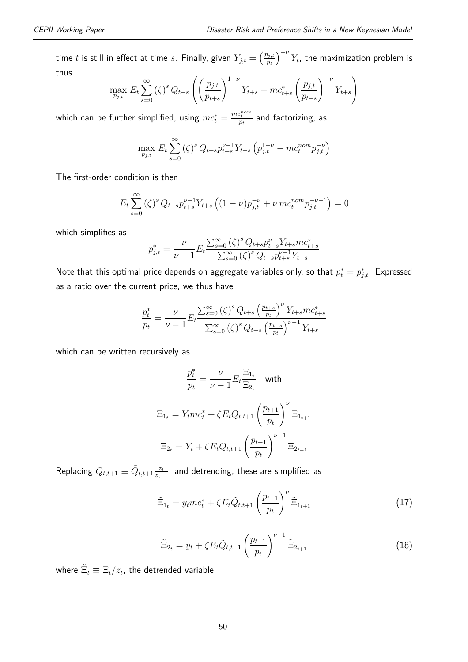time  $t$  is still in effect at time  $s$ . Finally, given  $Y_{j,t} = \left(\frac{p_{j,t}}{p_{t}}\right)$ *pt*  $\int^{-\nu} Y_t$ , the maximization problem is thus

$$
\max_{p_{j,t}} E_t \sum_{s=0}^{\infty} (\zeta)^s Q_{t+s} \left( \left( \frac{p_{j,t}}{p_{t+s}} \right)^{1-\nu} Y_{t+s} - mc_{t+s}^* \left( \frac{p_{j,t}}{p_{t+s}} \right)^{-\nu} Y_{t+s} \right)
$$

which can be further simplified, using  $mc_t^* = \frac{mc_t^{nom}}{p_t}$  and factorizing, as

$$
\max_{p_{j,t}} E_t \sum_{s=0}^{\infty} (\zeta)^s Q_{t+s} p_{t+s}^{\nu-1} Y_{t+s} \left( p_{j,t}^{1-\nu} - m c_t^{nom} p_{j,t}^{-\nu} \right)
$$

The first-order condition is then

$$
E_t \sum_{s=0}^{\infty} (\zeta)^s Q_{t+s} p_{t+s}^{\nu-1} Y_{t+s} \left( (1-\nu) p_{j,t}^{-\nu} + \nu m c_t^{nom} p_{j,t}^{-\nu-1} \right) = 0
$$

which simplifies as

$$
p_{j,t}^* = \frac{\nu}{\nu-1} E_t \frac{\sum_{s=0}^{\infty} (\zeta)^s \, Q_{t+s} p_{t+s}^{\nu} Y_{t+s} m c_{t+s}^*}{\sum_{s=0}^{\infty} (\zeta)^s \, Q_{t+s} p_{t+s}^{\nu-1} Y_{t+s}}
$$

Note that this optimal price depends on aggregate variables only, so that  $p_t^* = p_{j,t}^*$ . Expressed as a ratio over the current price, we thus have

$$
\frac{p_t^*}{p_t} = \frac{\nu}{\nu - 1} E_t \frac{\sum_{s=0}^{\infty} (\zeta)^s Q_{t+s} \left(\frac{p_{t+s}}{p_t}\right)^{\nu} Y_{t+s} m c_{t+s}^*}{\sum_{s=0}^{\infty} (\zeta)^s Q_{t+s} \left(\frac{p_{t+s}}{p_t}\right)^{\nu-1} Y_{t+s}}
$$

which can be written recursively as

$$
\frac{p_t^*}{p_t} = \frac{\nu}{\nu - 1} E_t \frac{\Xi_{1_t}}{\Xi_{2_t}} \quad \text{with}
$$
\n
$$
\Xi_{1_t} = Y_t m c_t^* + \zeta E_t Q_{t, t+1} \left(\frac{p_{t+1}}{p_t}\right)^{\nu} \Xi_{1_{t+1}}
$$
\n
$$
\Xi_{2_t} = Y_t + \zeta E_t Q_{t, t+1} \left(\frac{p_{t+1}}{p_t}\right)^{\nu - 1} \Xi_{2_{t+1}}
$$

 $\mathsf{Replacing}\ Q_{t,t+1}\equiv \tilde{Q}_{t,t+1}\frac{z_t}{z_{t+1}}$  $\frac{z_t}{z_{t+1}}$ , and detrending, these are simplified as

$$
\tilde{\Xi}_{1_t} = y_t m c_t^* + \zeta E_t \tilde{Q}_{t,t+1} \left(\frac{p_{t+1}}{p_t}\right)^{\nu} \tilde{\Xi}_{1_{t+1}}
$$
\n(17)

$$
\tilde{\Xi}_{2_t} = y_t + \zeta E_t \tilde{Q}_{t,t+1} \left(\frac{p_{t+1}}{p_t}\right)^{\nu-1} \tilde{\Xi}_{2_{t+1}}
$$
\n(18)

where  $\tilde{\Xi}_t \equiv \Xi_t/z_t$ , the detrended variable.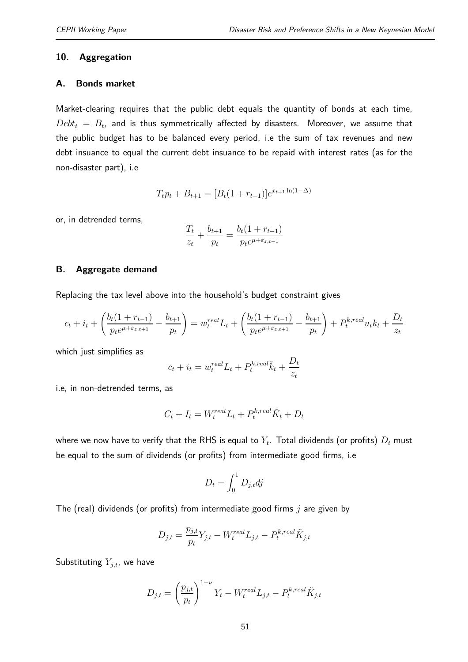#### **10. Aggregation**

#### **A. Bonds market**

Market-clearing requires that the public debt equals the quantity of bonds at each time,  $Debt_t\ =\ B_t$ , and is thus symmetrically affected by disasters. Moreover, we assume that the public budget has to be balanced every period, i.e the sum of tax revenues and new debt insuance to equal the current debt insuance to be repaid with interest rates (as for the non-disaster part), i.e

$$
T_t p_t + B_{t+1} = [B_t(1 + r_{t-1})]e^{x_{t+1}\ln(1 - \Delta)}
$$

or, in detrended terms,

$$
\frac{T_t}{z_t} + \frac{b_{t+1}}{p_t} = \frac{b_t(1 + r_{t-1})}{p_t e^{\mu + \varepsilon_{z,t+1}}}
$$

#### **B. Aggregate demand**

Replacing the tax level above into the household's budget constraint gives

$$
c_t + i_t + \left(\frac{b_t(1 + r_{t-1})}{p_t e^{\mu + \varepsilon_{z,t+1}}} - \frac{b_{t+1}}{p_t}\right) = w_t^{real} L_t + \left(\frac{b_t(1 + r_{t-1})}{p_t e^{\mu + \varepsilon_{z,t+1}}} - \frac{b_{t+1}}{p_t}\right) + P_t^{k,real} u_t k_t + \frac{D_t}{z_t}
$$

which just simplifies as

$$
c_t + i_t = w_t^{real} L_t + P_t^{k,real} \tilde{k}_t + \frac{D_t}{z_t}
$$

i.e, in non-detrended terms, as

$$
C_t + I_t = W_t^{real} L_t + P_t^{k,real} \tilde{K}_t + D_t
$$

where we now have to verify that the RHS is equal to  $Y_t.$  Total dividends (or profits)  $D_t$  must be equal to the sum of dividends (or profits) from intermediate good firms, i.e

$$
D_t = \int_0^1 D_{j,t} dj
$$

The (real) dividends (or profits) from intermediate good firms *j* are given by

$$
D_{j,t} = \frac{p_{j,t}}{p_t} Y_{j,t} - W_t^{real} L_{j,t} - P_t^{k,real} \tilde{K}_{j,t}
$$

Substituting  $Y_{i,t}$ , we have

$$
D_{j,t} = \left(\frac{p_{j,t}}{p_t}\right)^{1-\nu} Y_t - W_t^{real} L_{j,t} - P_t^{k,real} \tilde{K}_{j,t}
$$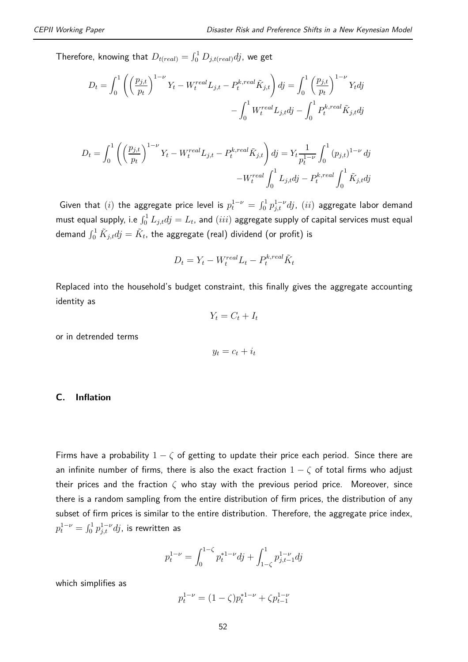Therefore, knowing that  $D_{t (real)} = \int_0^1 D_{j,t (real)}dj$ , we get

$$
D_t = \int_0^1 \left( \left( \frac{p_{j,t}}{p_t} \right)^{1-\nu} Y_t - W_t^{real} L_{j,t} - P_t^{k,real} \tilde{K}_{j,t} \right) dj = \int_0^1 \left( \frac{p_{j,t}}{p_t} \right)^{1-\nu} Y_t dj
$$

$$
- \int_0^1 W_t^{real} L_{j,t} dj - \int_0^1 P_t^{k,real} \tilde{K}_{j,t} dj
$$

$$
D_t = \int_0^1 \left( \left( \frac{p_{j,t}}{p_t} \right)^{1-\nu} Y_t - W_t^{real} L_{j,t} - P_t^{k,real} \tilde{K}_{j,t} \right) dj = Y_t \frac{1}{p_t^{1-\nu}} \int_0^1 (p_{j,t})^{1-\nu} dj
$$

$$
-W_t^{real} \int_0^1 L_{j,t} dj - P_t^{k,real} \int_0^1 \tilde{K}_{j,t} dj
$$

Given that  $(i)$  the aggregate price level is  $p_t^{1-\nu} = \int_0^1 p_{j,t}^{1-\nu}dj$ ,  $(ii)$  aggregate labor demand must equal supply, i.e  $\int_0^1 L_{j,t}dj = L_t$ , and  $(iii)$  aggregate supply of capital services must equal demand  $\int_0^1 \tilde K_{j,t}dj=\tilde K_t$ , the aggregate (real) dividend (or profit) is

$$
D_t = Y_t - W_t^{real} L_t - P_t^{k,real} \tilde{K}_t
$$

Replaced into the household's budget constraint, this finally gives the aggregate accounting identity as

$$
Y_t = C_t + I_t
$$

or in detrended terms

$$
y_t = c_t + i_t
$$

#### **C. Inflation**

Firms have a probability  $1 - \zeta$  of getting to update their price each period. Since there are an infinite number of firms, there is also the exact fraction  $1 - \zeta$  of total firms who adjust their prices and the fraction *ζ* who stay with the previous period price. Moreover, since there is a random sampling from the entire distribution of firm prices, the distribution of any subset of firm prices is similar to the entire distribution. Therefore, the aggregate price index,  $p_{t}^{1-\nu}=\int_{0}^{1}p_{j,t}^{1-\nu}dj$ , is rewritten as

$$
p_t^{1-\nu} = \int_0^{1-\zeta} p_t^{*1-\nu} \, dj + \int_{1-\zeta}^1 p_{j,t-1}^{1-\nu} \, dj
$$

which simplifies as

$$
p_t^{1-\nu} = (1 - \zeta)p_t^{*1-\nu} + \zeta p_{t-1}^{1-\nu}
$$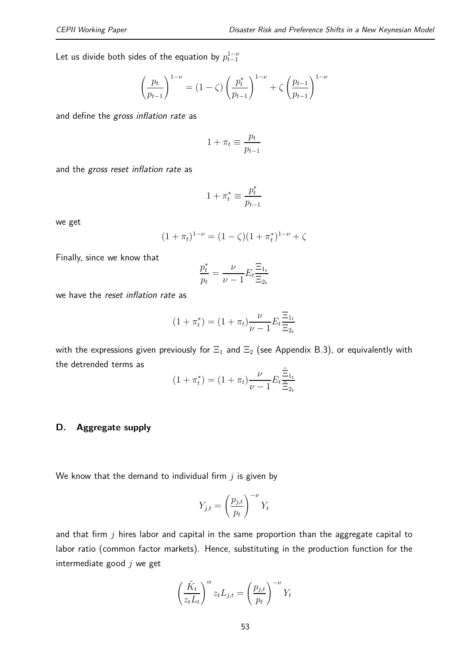Let us divide both sides of the equation by  $p_{t-1}^{1-\nu}$ 

$$
\left(\frac{p_t}{p_{t-1}}\right)^{1-\nu} = (1-\zeta)\left(\frac{p_t^*}{p_{t-1}}\right)^{1-\nu} + \zeta\left(\frac{p_{t-1}}{p_{t-1}}\right)^{1-\nu}
$$

and define the *gross inflation rate* as

$$
1 + \pi_t \equiv \frac{p_t}{p_{t-1}}
$$

and the *gross reset inflation rate* as

$$
1 + \pi_t^* \equiv \frac{p_t^*}{p_{t-1}}
$$

we get

$$
(1 + \pi_t)^{1-\nu} = (1 - \zeta)(1 + \pi_t^*)^{1-\nu} + \zeta
$$

Finally, since we know that

$$
\frac{p_t^*}{p_t} = \frac{\nu}{\nu - 1} E_t \frac{\Xi_{1_t}}{\Xi_{2_t}}
$$

we have the *reset inflation rate* as

$$
(1 + \pi_t^*) = (1 + \pi_t) \frac{\nu}{\nu - 1} E_t \frac{\Xi_{1_t}}{\Xi_{2_t}}
$$

with the expressions given previously for  $\Xi_1$  and  $\Xi_2$  (see Appendix B.3), or equivalently with the detrended terms as

$$
(1 + \pi_t^*) = (1 + \pi_t) \frac{\nu}{\nu - 1} E_t \frac{\tilde{\Xi}_{1_t}}{\tilde{\Xi}_{2_t}}
$$

#### **D. Aggregate supply**

We know that the demand to individual firm *j* is given by

$$
Y_{j,t} = \left(\frac{p_{j,t}}{p_t}\right)^{-\nu} Y_t
$$

and that firm *j* hires labor and capital in the same proportion than the aggregate capital to labor ratio (common factor markets). Hence, substituting in the production function for the intermediate good *j* we get

$$
\left(\frac{\tilde{K}_t}{z_t L_t}\right)^{\alpha} z_t L_{j,t} = \left(\frac{p_{j,t}}{p_t}\right)^{-\nu} Y_t
$$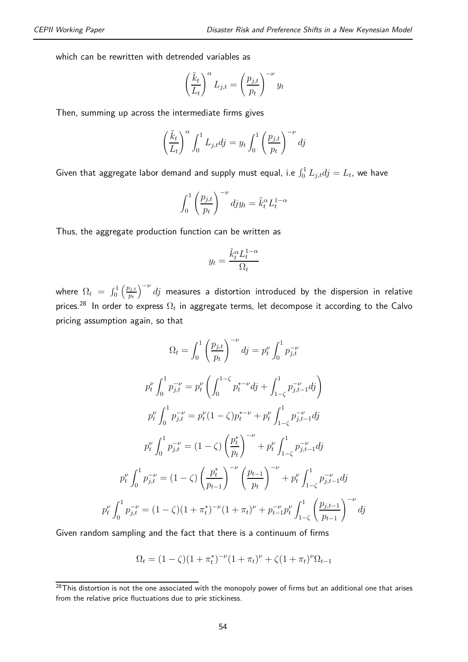which can be rewritten with detrended variables as

$$
\left(\frac{\tilde{k}_t}{L_t}\right)^{\alpha} L_{j,t} = \left(\frac{p_{j,t}}{p_t}\right)^{-\nu} y_t
$$

Then, summing up across the intermediate firms gives

$$
\left(\frac{\tilde{k}_t}{L_t}\right)^{\alpha} \int_0^1 L_{j,t} dj = y_t \int_0^1 \left(\frac{p_{j,t}}{p_t}\right)^{-\nu} dj
$$

Given that aggregate labor demand and supply must equal, i.e  $\int_0^1 L_{j,t} d j = L_t$ , we have

$$
\int_0^1 \left(\frac{p_{j,t}}{p_t}\right)^{-\nu} dy_{jt} = \tilde{k}_t^{\alpha} L_t^{1-\alpha}
$$

Thus, the aggregate production function can be written as

$$
y_t = \frac{\tilde{k}_t^{\alpha} L_t^{1-\alpha}}{\Omega_t}
$$

where  $\Omega_t = \int_0^1 \left( \frac{p_{j,t}}{p_t} \right)$ *pt*  $\int^{ -\nu} d j$  measures a distortion introduced by the dispersion in relative prices. $^{28}$  In order to express  $\Omega_t$  in aggregate terms, let decompose it according to the Calvo pricing assumption again, so that

$$
\Omega_{t} = \int_{0}^{1} \left(\frac{p_{j,t}}{p_{t}}\right)^{-\nu} dj = p_{t}^{\nu} \int_{0}^{1} p_{j,t}^{-\nu}
$$
\n
$$
p_{t}^{\nu} \int_{0}^{1} p_{j,t}^{-\nu} = p_{t}^{\nu} \left(\int_{0}^{1-\zeta} p_{t}^{*-\nu} dj + \int_{1-\zeta}^{1} p_{j,t-1}^{-\nu} dj\right)
$$
\n
$$
p_{t}^{\nu} \int_{0}^{1} p_{j,t}^{-\nu} = p_{t}^{\nu} (1-\zeta) p_{t}^{*-\nu} + p_{t}^{\nu} \int_{1-\zeta}^{1} p_{j,t-1}^{-\nu} dj
$$
\n
$$
p_{t}^{\nu} \int_{0}^{1} p_{j,t}^{-\nu} = (1-\zeta) \left(\frac{p_{t}^{*}}{p_{t}}\right)^{-\nu} + p_{t}^{\nu} \int_{1-\zeta}^{1} p_{j,t-1}^{-\nu} dj
$$
\n
$$
p_{t}^{\nu} \int_{0}^{1} p_{j,t}^{-\nu} = (1-\zeta) \left(\frac{p_{t}^{*}}{p_{t-1}}\right)^{-\nu} \left(\frac{p_{t-1}}{p_{t}}\right)^{-\nu} + p_{t}^{\nu} \int_{1-\zeta}^{1} p_{j,t-1}^{-\nu} dj
$$
\n
$$
p_{t}^{\nu} \int_{0}^{1} p_{j,t}^{-\nu} = (1-\zeta) (1 + \pi_{t})^{-\nu} (1 + \pi_{t})^{\nu} + p_{t-1}^{-\nu} p_{t}^{\nu} \int_{1-\zeta}^{1} \left(\frac{p_{j,t-1}}{p_{t-1}}\right)^{-\nu} dj
$$

Given random sampling and the fact that there is a continuum of firms

$$
\Omega_t = (1 - \zeta)(1 + \pi_t^*)^{-\nu}(1 + \pi_t)^{\nu} + \zeta(1 + \pi_t)^{\nu}\Omega_{t-1}
$$

 $28$ This distortion is not the one associated with the monopoly power of firms but an additional one that arises from the relative price fluctuations due to prie stickiness.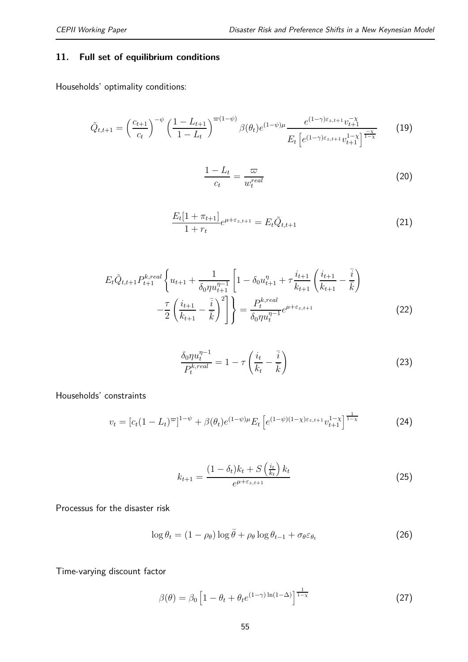#### **11. Full set of equilibrium conditions**

Households' optimality conditions:

$$
\tilde{Q}_{t,t+1} = \left(\frac{c_{t+1}}{c_t}\right)^{-\psi} \left(\frac{1 - L_{t+1}}{1 - L_t}\right)^{\varpi(1 - \psi)} \beta(\theta_t) e^{(1 - \psi)\mu} \frac{e^{(1 - \gamma)\varepsilon_{z,t+1}} v_{t+1}^{-\chi}}{E_t \left[e^{(1 - \gamma)\varepsilon_{z,t+1}} v_{t+1}^{1 - \chi}\right]^{\frac{-\chi}{1 - \chi}}} \tag{19}
$$

$$
\frac{1 - L_t}{c_t} = \frac{\varpi}{w_t^{real}}\tag{20}
$$

$$
\frac{E_t[1 + \pi_{t+1}]}{1 + r_t} e^{\mu + \varepsilon_{z,t+1}} = E_t \tilde{Q}_{t,t+1}
$$
\n(21)

$$
E_{t}\tilde{Q}_{t,t+1}P_{t+1}^{k,real}\left\{u_{t+1} + \frac{1}{\delta_{0}\eta u_{t+1}^{\eta-1}}\left[1 - \delta_{0}u_{t+1}^{\eta} + \tau \frac{i_{t+1}}{k_{t+1}}\left(\frac{i_{t+1}}{k_{t+1}} - \frac{\bar{i}}{k}\right)\right] - \frac{\tau}{2}\left(\frac{i_{t+1}}{k_{t+1}} - \frac{\bar{i}}{k}\right)^{2}\right\} = \frac{P_{t}^{k,real}}{\delta_{0}\eta u_{t}^{\eta-1}}e^{\mu + \varepsilon_{z,t+1}}
$$
(22)

$$
\frac{\delta_0 \eta u_t^{\eta - 1}}{P_t^{k,real}} = 1 - \tau \left(\frac{i_t}{k_t} - \frac{\bar{i}}{\bar{k}}\right)
$$
\n(23)

Households' constraints

$$
v_t = [c_t(1 - L_t)^{\varpi}]^{1 - \psi} + \beta(\theta_t)e^{(1 - \psi)\mu} E_t \left[e^{(1 - \psi)(1 - \chi)\varepsilon_{z,t+1}}v_{t+1}^{1 - \chi}\right]^{\frac{1}{1 - \chi}} \tag{24}
$$

$$
k_{t+1} = \frac{(1 - \delta_t)k_t + S\left(\frac{i_t}{k_t}\right)k_t}{e^{\mu + \varepsilon_{z,t+1}}}
$$
\n
$$
(25)
$$

Processus for the disaster risk

$$
\log \theta_t = (1 - \rho_\theta) \log \bar{\theta} + \rho_\theta \log \theta_{t-1} + \sigma_\theta \varepsilon_{\theta_t} \tag{26}
$$

Time-varying discount factor

$$
\beta(\theta) = \beta_0 \left[ 1 - \theta_t + \theta_t e^{(1-\gamma)\ln(1-\Delta)} \right]^{\frac{1}{1-\chi}} \tag{27}
$$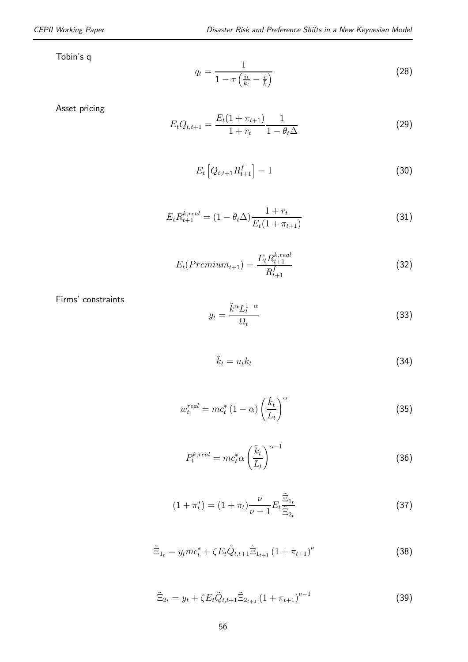$$
q_t = \frac{1}{1 - \tau \left(\frac{i_t}{k_t} - \frac{\bar{i}}{k}\right)}\tag{28}
$$

Asset pricing

$$
E_t Q_{t,t+1} = \frac{E_t (1 + \pi_{t+1})}{1 + r_t} \frac{1}{1 - \theta_t \Delta} \tag{29}
$$

$$
E_t\left[Q_{t,t+1}R_{t+1}^f\right] = 1\tag{30}
$$

$$
E_t R_{t+1}^{k,real} = (1 - \theta_t \Delta) \frac{1 + r_t}{E_t (1 + \pi_{t+1})}
$$
(31)

$$
E_t(Premium_{t+1}) = \frac{E_t R_{t+1}^{k,real}}{R_{t+1}^f}
$$
\n(32)

Firms' constraints

$$
y_t = \frac{\tilde{k}^{\alpha} L_t^{1-\alpha}}{\Omega_t} \tag{33}
$$

$$
\tilde{k}_t = u_t k_t \tag{34}
$$

$$
w_t^{real} = mc_t^* \left(1 - \alpha\right) \left(\frac{\tilde{k}_t}{L_t}\right)^{\alpha} \tag{35}
$$

$$
P_t^{k,real} = mc_t^* \alpha \left(\frac{\tilde{k}_t}{L_t}\right)^{\alpha - 1} \tag{36}
$$

$$
(1 + \pi_t^*) = (1 + \pi_t) \frac{\nu}{\nu - 1} E_t \frac{\tilde{\Xi}_{1_t}}{\tilde{\Xi}_{2_t}}
$$
 (37)

$$
\tilde{\Xi}_{1_t} = y_t m c_t^* + \zeta E_t \tilde{Q}_{t,t+1} \tilde{\Xi}_{1_{t+1}} (1 + \pi_{t+1})^{\nu}
$$
\n(38)

$$
\tilde{\Xi}_{2t} = y_t + \zeta E_t \tilde{Q}_{t,t+1} \tilde{\Xi}_{2t+1} \left( 1 + \pi_{t+1} \right)^{\nu-1} \tag{39}
$$